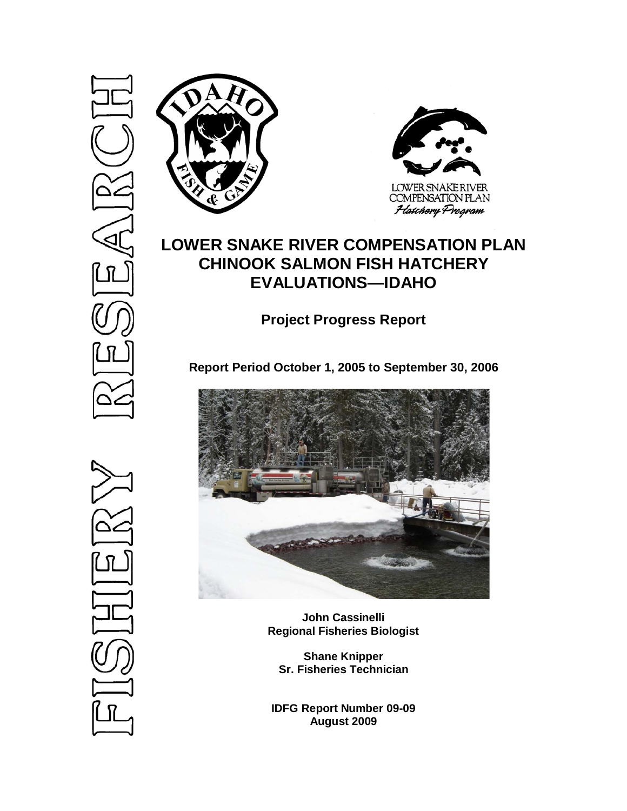



# **LOWER SNAKE RIVER COMPENSATION PLAN CHINOOK SALMON FISH HATCHERY EVALUATIONS—IDAHO**

**Project Progress Report**

**Report Period October 1, 2005 to September 30, 2006**



**John Cassinelli Regional Fisheries Biologist**

**Shane Knipper Sr. Fisheries Technician**

**IDFG Report Number 09-09 August 2009**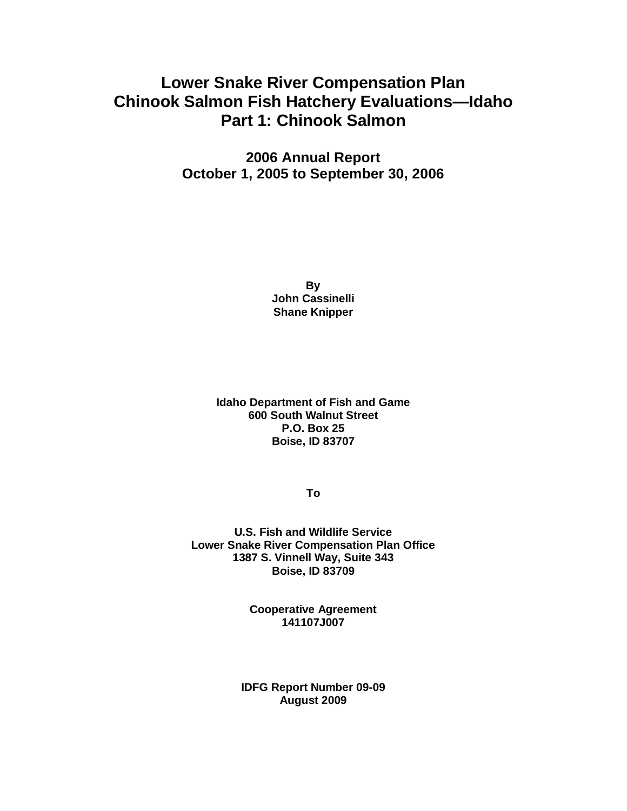# **Lower Snake River Compensation Plan Chinook Salmon Fish Hatchery Evaluations—Idaho Part 1: Chinook Salmon**

**2006 Annual Report October 1, 2005 to September 30, 2006**

> **By John Cassinelli Shane Knipper**

**Idaho Department of Fish and Game 600 South Walnut Street P.O. Box 25 Boise, ID 83707**

**To**

**U.S. Fish and Wildlife Service Lower Snake River Compensation Plan Office 1387 S. Vinnell Way, Suite 343 Boise, ID 83709**

> **Cooperative Agreement 141107J007**

**IDFG Report Number 09-09 August 2009**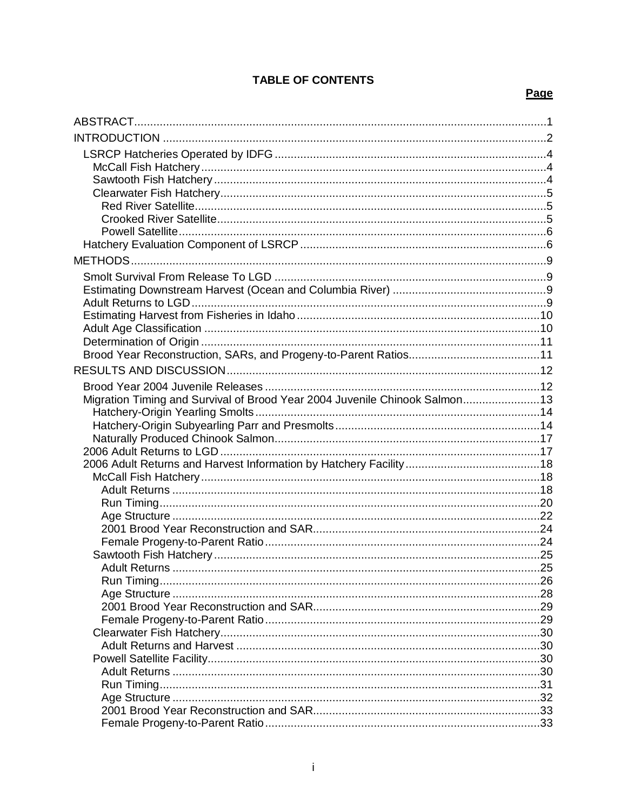# **TABLE OF CONTENTS**

# Page

| Migration Timing and Survival of Brood Year 2004 Juvenile Chinook Salmon13 |     |
|----------------------------------------------------------------------------|-----|
|                                                                            |     |
|                                                                            |     |
|                                                                            |     |
|                                                                            |     |
|                                                                            |     |
|                                                                            |     |
|                                                                            |     |
|                                                                            |     |
|                                                                            |     |
|                                                                            |     |
|                                                                            |     |
|                                                                            |     |
|                                                                            | .26 |
|                                                                            |     |
|                                                                            |     |
|                                                                            |     |
|                                                                            |     |
|                                                                            |     |
|                                                                            |     |
|                                                                            |     |
|                                                                            |     |
|                                                                            |     |
|                                                                            |     |
|                                                                            |     |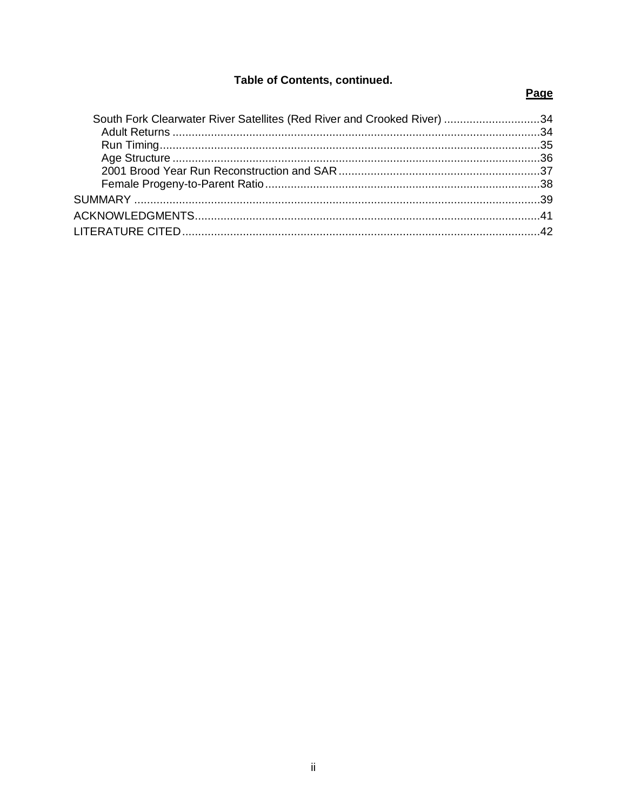# Table of Contents, continued.

# Page

| South Fork Clearwater River Satellites (Red River and Crooked River) 34 |  |
|-------------------------------------------------------------------------|--|
|                                                                         |  |
|                                                                         |  |
|                                                                         |  |
|                                                                         |  |
|                                                                         |  |
|                                                                         |  |
|                                                                         |  |
|                                                                         |  |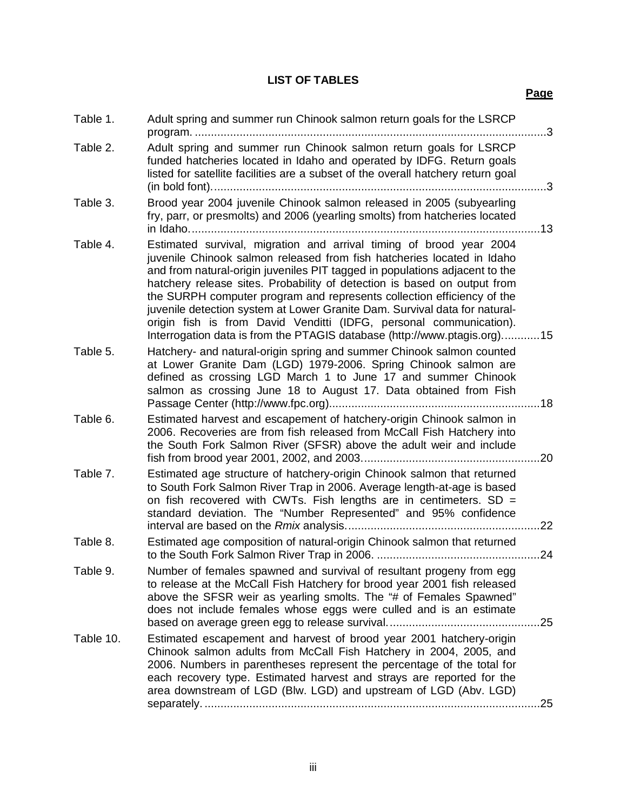# **LIST OF TABLES**

| Table 1.  | Adult spring and summer run Chinook salmon return goals for the LSRCP<br>. 3                                                                                                                                                                                                                                                                                                                                                                                                                                                                                                                                       |
|-----------|--------------------------------------------------------------------------------------------------------------------------------------------------------------------------------------------------------------------------------------------------------------------------------------------------------------------------------------------------------------------------------------------------------------------------------------------------------------------------------------------------------------------------------------------------------------------------------------------------------------------|
| Table 2.  | Adult spring and summer run Chinook salmon return goals for LSRCP<br>funded hatcheries located in Idaho and operated by IDFG. Return goals<br>listed for satellite facilities are a subset of the overall hatchery return goal<br>. 3                                                                                                                                                                                                                                                                                                                                                                              |
| Table 3.  | Brood year 2004 juvenile Chinook salmon released in 2005 (subyearling<br>fry, parr, or presmolts) and 2006 (yearling smolts) from hatcheries located                                                                                                                                                                                                                                                                                                                                                                                                                                                               |
| Table 4.  | Estimated survival, migration and arrival timing of brood year 2004<br>juvenile Chinook salmon released from fish hatcheries located in Idaho<br>and from natural-origin juveniles PIT tagged in populations adjacent to the<br>hatchery release sites. Probability of detection is based on output from<br>the SURPH computer program and represents collection efficiency of the<br>juvenile detection system at Lower Granite Dam. Survival data for natural-<br>origin fish is from David Venditti (IDFG, personal communication).<br>Interrogation data is from the PTAGIS database (http://www.ptagis.org)15 |
| Table 5.  | Hatchery- and natural-origin spring and summer Chinook salmon counted<br>at Lower Granite Dam (LGD) 1979-2006. Spring Chinook salmon are<br>defined as crossing LGD March 1 to June 17 and summer Chinook<br>salmon as crossing June 18 to August 17. Data obtained from Fish                                                                                                                                                                                                                                                                                                                                      |
| Table 6.  | Estimated harvest and escapement of hatchery-origin Chinook salmon in<br>2006. Recoveries are from fish released from McCall Fish Hatchery into<br>the South Fork Salmon River (SFSR) above the adult weir and include                                                                                                                                                                                                                                                                                                                                                                                             |
| Table 7.  | Estimated age structure of hatchery-origin Chinook salmon that returned<br>to South Fork Salmon River Trap in 2006. Average length-at-age is based<br>on fish recovered with CWTs. Fish lengths are in centimeters. $SD =$<br>standard deviation. The "Number Represented" and 95% confidence                                                                                                                                                                                                                                                                                                                      |
| Table 8.  | Estimated age composition of natural-origin Chinook salmon that returned                                                                                                                                                                                                                                                                                                                                                                                                                                                                                                                                           |
| Table 9.  | Number of females spawned and survival of resultant progeny from egg<br>to release at the McCall Fish Hatchery for brood year 2001 fish released<br>above the SFSR weir as yearling smolts. The "# of Females Spawned"<br>does not include females whose eggs were culled and is an estimate<br>. 25                                                                                                                                                                                                                                                                                                               |
| Table 10. | Estimated escapement and harvest of brood year 2001 hatchery-origin<br>Chinook salmon adults from McCall Fish Hatchery in 2004, 2005, and<br>2006. Numbers in parentheses represent the percentage of the total for<br>each recovery type. Estimated harvest and strays are reported for the<br>area downstream of LGD (Blw. LGD) and upstream of LGD (Abv. LGD)<br>25                                                                                                                                                                                                                                             |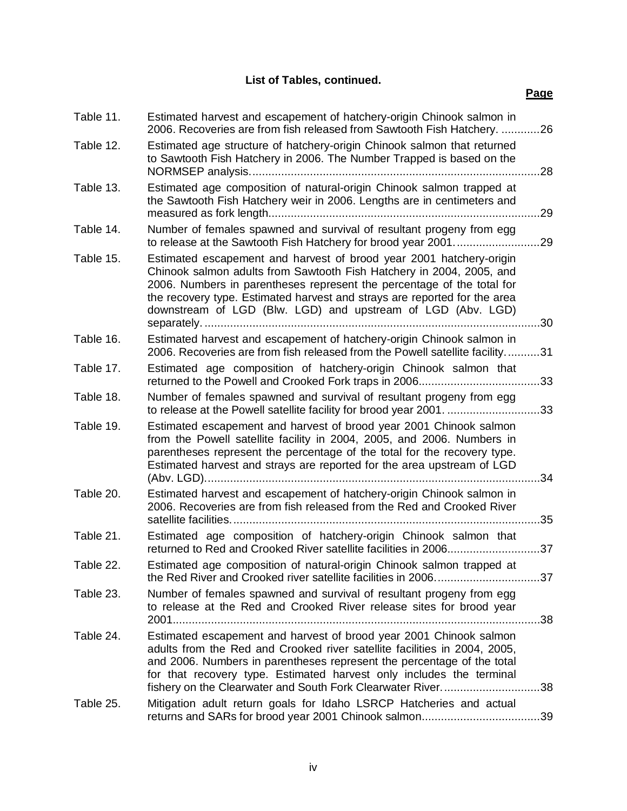**List of Tables, continued.**

| Table 11. | Estimated harvest and escapement of hatchery-origin Chinook salmon in<br>2006. Recoveries are from fish released from Sawtooth Fish Hatchery. 26                                                                                                                                                                                                                         |
|-----------|--------------------------------------------------------------------------------------------------------------------------------------------------------------------------------------------------------------------------------------------------------------------------------------------------------------------------------------------------------------------------|
| Table 12. | Estimated age structure of hatchery-origin Chinook salmon that returned<br>to Sawtooth Fish Hatchery in 2006. The Number Trapped is based on the<br>.28                                                                                                                                                                                                                  |
| Table 13. | Estimated age composition of natural-origin Chinook salmon trapped at<br>the Sawtooth Fish Hatchery weir in 2006. Lengths are in centimeters and<br>.29                                                                                                                                                                                                                  |
| Table 14. | Number of females spawned and survival of resultant progeny from egg<br>to release at the Sawtooth Fish Hatchery for brood year 2001<br>.29                                                                                                                                                                                                                              |
| Table 15. | Estimated escapement and harvest of brood year 2001 hatchery-origin<br>Chinook salmon adults from Sawtooth Fish Hatchery in 2004, 2005, and<br>2006. Numbers in parentheses represent the percentage of the total for<br>the recovery type. Estimated harvest and strays are reported for the area<br>downstream of LGD (Blw. LGD) and upstream of LGD (Abv. LGD)<br>.30 |
| Table 16. | Estimated harvest and escapement of hatchery-origin Chinook salmon in<br>2006. Recoveries are from fish released from the Powell satellite facility31                                                                                                                                                                                                                    |
| Table 17. | Estimated age composition of hatchery-origin Chinook salmon that<br>.33                                                                                                                                                                                                                                                                                                  |
| Table 18. | Number of females spawned and survival of resultant progeny from egg<br>to release at the Powell satellite facility for brood year 2001. 33                                                                                                                                                                                                                              |
| Table 19. | Estimated escapement and harvest of brood year 2001 Chinook salmon<br>from the Powell satellite facility in 2004, 2005, and 2006. Numbers in<br>parentheses represent the percentage of the total for the recovery type.<br>Estimated harvest and strays are reported for the area upstream of LGD<br>.34                                                                |
| Table 20. | Estimated harvest and escapement of hatchery-origin Chinook salmon in<br>2006. Recoveries are from fish released from the Red and Crooked River<br>.35                                                                                                                                                                                                                   |
| Table 21. | Estimated age composition of hatchery-origin Chinook salmon that<br>returned to Red and Crooked River satellite facilities in 200637                                                                                                                                                                                                                                     |
| Table 22  | Estimated age composition of natural-origin Chinook salmon trapped at                                                                                                                                                                                                                                                                                                    |
| Table 23. | Number of females spawned and survival of resultant progeny from egg<br>to release at the Red and Crooked River release sites for brood year                                                                                                                                                                                                                             |
| Table 24. | Estimated escapement and harvest of brood year 2001 Chinook salmon<br>adults from the Red and Crooked river satellite facilities in 2004, 2005,<br>and 2006. Numbers in parentheses represent the percentage of the total<br>for that recovery type. Estimated harvest only includes the terminal<br>fishery on the Clearwater and South Fork Clearwater River<br>.38    |
| Table 25. | Mitigation adult return goals for Idaho LSRCP Hatcheries and actual                                                                                                                                                                                                                                                                                                      |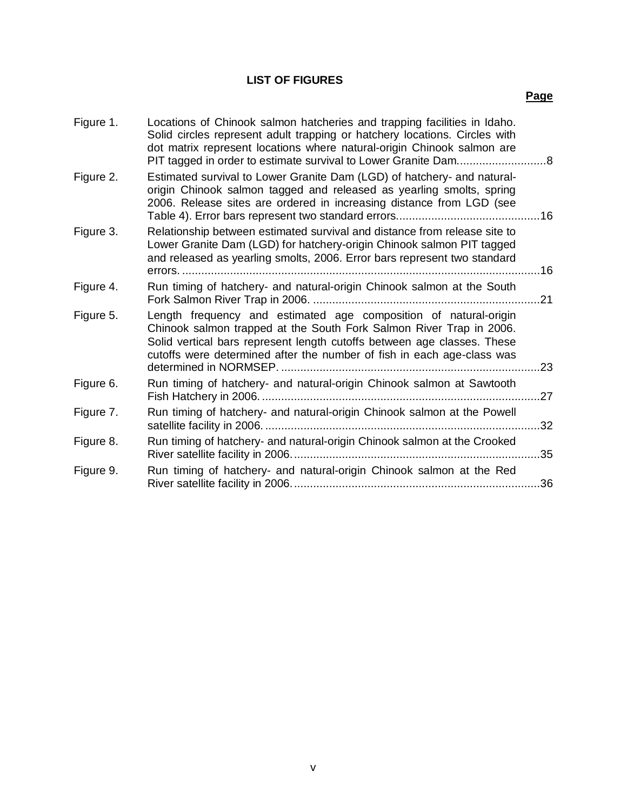# **LIST OF FIGURES**

| Figure 1. | Locations of Chinook salmon hatcheries and trapping facilities in Idaho.<br>Solid circles represent adult trapping or hatchery locations. Circles with<br>dot matrix represent locations where natural-origin Chinook salmon are                                                                                      |     |
|-----------|-----------------------------------------------------------------------------------------------------------------------------------------------------------------------------------------------------------------------------------------------------------------------------------------------------------------------|-----|
| Figure 2. | Estimated survival to Lower Granite Dam (LGD) of hatchery- and natural-<br>origin Chinook salmon tagged and released as yearling smolts, spring<br>2006. Release sites are ordered in increasing distance from LGD (see                                                                                               | .16 |
| Figure 3. | Relationship between estimated survival and distance from release site to<br>Lower Granite Dam (LGD) for hatchery-origin Chinook salmon PIT tagged<br>and released as yearling smolts, 2006. Error bars represent two standard                                                                                        | …16 |
| Figure 4. | Run timing of hatchery- and natural-origin Chinook salmon at the South                                                                                                                                                                                                                                                | .21 |
| Figure 5. | Length frequency and estimated age composition of natural-origin<br>Chinook salmon trapped at the South Fork Salmon River Trap in 2006.<br>Solid vertical bars represent length cutoffs between age classes. These<br>cutoffs were determined after the number of fish in each age-class was<br>determined in NORMSEP | .23 |
| Figure 6. | Run timing of hatchery- and natural-origin Chinook salmon at Sawtooth                                                                                                                                                                                                                                                 | 27  |
| Figure 7. | Run timing of hatchery- and natural-origin Chinook salmon at the Powell                                                                                                                                                                                                                                               | 32  |
| Figure 8. | Run timing of hatchery- and natural-origin Chinook salmon at the Crooked                                                                                                                                                                                                                                              | .35 |
| Figure 9. | Run timing of hatchery- and natural-origin Chinook salmon at the Red                                                                                                                                                                                                                                                  | 36  |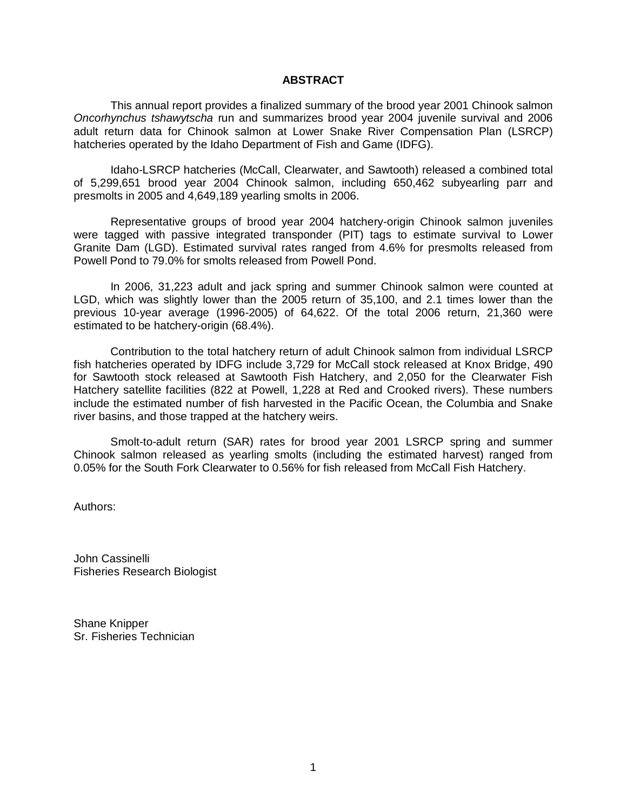#### **ABSTRACT**

<span id="page-7-0"></span>This annual report provides a finalized summary of the brood year 2001 Chinook salmon *Oncorhynchus tshawytscha* run and summarizes brood year 2004 juvenile survival and 2006 adult return data for Chinook salmon at Lower Snake River Compensation Plan (LSRCP) hatcheries operated by the Idaho Department of Fish and Game (IDFG).

Idaho-LSRCP hatcheries (McCall, Clearwater, and Sawtooth) released a combined total of 5,299,651 brood year 2004 Chinook salmon, including 650,462 subyearling parr and presmolts in 2005 and 4,649,189 yearling smolts in 2006.

Representative groups of brood year 2004 hatchery-origin Chinook salmon juveniles were tagged with passive integrated transponder (PIT) tags to estimate survival to Lower Granite Dam (LGD). Estimated survival rates ranged from 4.6% for presmolts released from Powell Pond to 79.0% for smolts released from Powell Pond.

In 2006, 31,223 adult and jack spring and summer Chinook salmon were counted at LGD, which was slightly lower than the 2005 return of 35,100, and 2.1 times lower than the previous 10-year average (1996-2005) of 64,622. Of the total 2006 return, 21,360 were estimated to be hatchery-origin (68.4%).

Contribution to the total hatchery return of adult Chinook salmon from individual LSRCP fish hatcheries operated by IDFG include 3,729 for McCall stock released at Knox Bridge, 490 for Sawtooth stock released at Sawtooth Fish Hatchery, and 2,050 for the Clearwater Fish Hatchery satellite facilities (822 at Powell, 1,228 at Red and Crooked rivers). These numbers include the estimated number of fish harvested in the Pacific Ocean, the Columbia and Snake river basins, and those trapped at the hatchery weirs.

Smolt-to-adult return (SAR) rates for brood year 2001 LSRCP spring and summer Chinook salmon released as yearling smolts (including the estimated harvest) ranged from 0.05% for the South Fork Clearwater to 0.56% for fish released from McCall Fish Hatchery.

Authors:

John Cassinelli Fisheries Research Biologist

Shane Knipper Sr. Fisheries Technician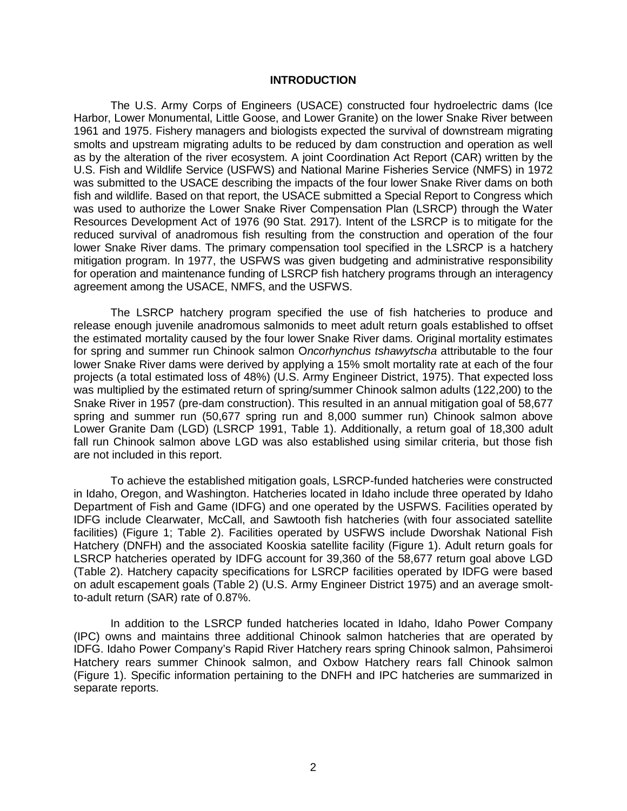#### **INTRODUCTION**

<span id="page-8-0"></span>The U.S. Army Corps of Engineers (USACE) constructed four hydroelectric dams (Ice Harbor, Lower Monumental, Little Goose, and Lower Granite) on the lower Snake River between 1961 and 1975. Fishery managers and biologists expected the survival of downstream migrating smolts and upstream migrating adults to be reduced by dam construction and operation as well as by the alteration of the river ecosystem. A joint Coordination Act Report (CAR) written by the U.S. Fish and Wildlife Service (USFWS) and National Marine Fisheries Service (NMFS) in 1972 was submitted to the USACE describing the impacts of the four lower Snake River dams on both fish and wildlife. Based on that report, the USACE submitted a Special Report to Congress which was used to authorize the Lower Snake River Compensation Plan (LSRCP) through the Water Resources Development Act of 1976 (90 Stat. 2917). Intent of the LSRCP is to mitigate for the reduced survival of anadromous fish resulting from the construction and operation of the four lower Snake River dams. The primary compensation tool specified in the LSRCP is a hatchery mitigation program. In 1977, the USFWS was given budgeting and administrative responsibility for operation and maintenance funding of LSRCP fish hatchery programs through an interagency agreement among the USACE, NMFS, and the USFWS.

The LSRCP hatchery program specified the use of fish hatcheries to produce and release enough juvenile anadromous salmonids to meet adult return goals established to offset the estimated mortality caused by the four lower Snake River dams. Original mortality estimates for spring and summer run Chinook salmon O*ncorhynchus tshawytscha* attributable to the four lower Snake River dams were derived by applying a 15% smolt mortality rate at each of the four projects (a total estimated loss of 48%) (U.S. Army Engineer District, 1975). That expected loss was multiplied by the estimated return of spring/summer Chinook salmon adults (122,200) to the Snake River in 1957 (pre-dam construction). This resulted in an annual mitigation goal of 58,677 spring and summer run (50,677 spring run and 8,000 summer run) Chinook salmon above Lower Granite Dam (LGD) (LSRCP 1991, Table 1). Additionally, a return goal of 18,300 adult fall run Chinook salmon above LGD was also established using similar criteria, but those fish are not included in this report.

To achieve the established mitigation goals, LSRCP-funded hatcheries were constructed in Idaho, Oregon, and Washington. Hatcheries located in Idaho include three operated by Idaho Department of Fish and Game (IDFG) and one operated by the USFWS. Facilities operated by IDFG include Clearwater, McCall, and Sawtooth fish hatcheries (with four associated satellite facilities) (Figure 1; Table 2). Facilities operated by USFWS include Dworshak National Fish Hatchery (DNFH) and the associated Kooskia satellite facility (Figure 1). Adult return goals for LSRCP hatcheries operated by IDFG account for 39,360 of the 58,677 return goal above LGD (Table 2). Hatchery capacity specifications for LSRCP facilities operated by IDFG were based on adult escapement goals (Table 2) (U.S. Army Engineer District 1975) and an average smoltto-adult return (SAR) rate of 0.87%.

In addition to the LSRCP funded hatcheries located in Idaho, Idaho Power Company (IPC) owns and maintains three additional Chinook salmon hatcheries that are operated by IDFG. Idaho Power Company's Rapid River Hatchery rears spring Chinook salmon, Pahsimeroi Hatchery rears summer Chinook salmon, and Oxbow Hatchery rears fall Chinook salmon (Figure 1). Specific information pertaining to the DNFH and IPC hatcheries are summarized in separate reports.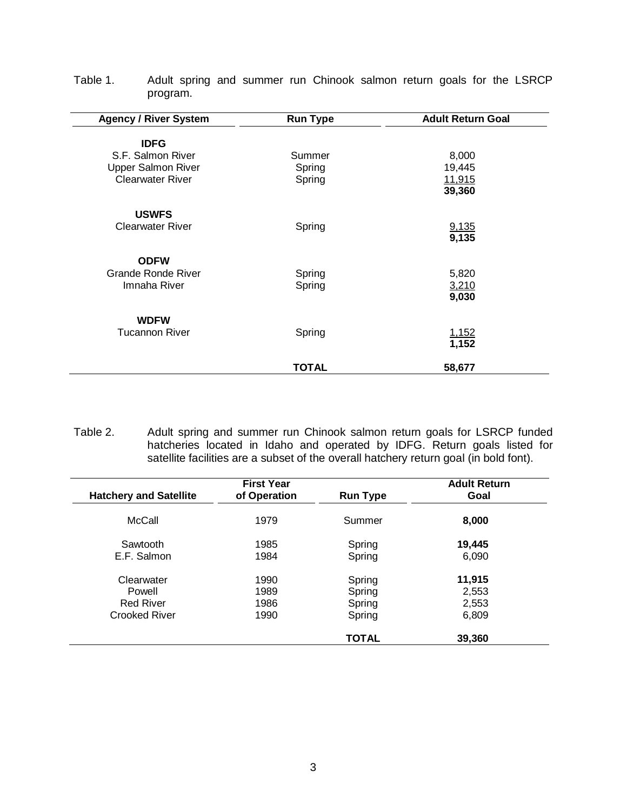| <b>Agency / River System</b> | <b>Run Type</b> | <b>Adult Return Goal</b> |
|------------------------------|-----------------|--------------------------|
| <b>IDFG</b>                  |                 |                          |
| S.F. Salmon River            | Summer          | 8,000                    |
| <b>Upper Salmon River</b>    | Spring          | 19,445                   |
| <b>Clearwater River</b>      | Spring          | 11,915                   |
|                              |                 | 39,360                   |
| <b>USWFS</b>                 |                 |                          |
| <b>Clearwater River</b>      | Spring          | 9,135                    |
|                              |                 | 9,135                    |
| <b>ODFW</b>                  |                 |                          |
| Grande Ronde River           | Spring          | 5,820                    |
| Imnaha River                 | Spring          | 3,210                    |
|                              |                 | 9,030                    |
| <b>WDFW</b>                  |                 |                          |
| <b>Tucannon River</b>        | Spring          | 1,152                    |
|                              |                 | 1,152                    |
|                              | <b>TOTAL</b>    | 58,677                   |

<span id="page-9-0"></span>Table 1. Adult spring and summer run Chinook salmon return goals for the LSRCP program.

<span id="page-9-1"></span>Table 2. Adult spring and summer run Chinook salmon return goals for LSRCP funded hatcheries located in Idaho and operated by IDFG. Return goals listed for satellite facilities are a subset of the overall hatchery return goal (in bold font).

|                               | <b>First Year</b> |                 | <b>Adult Return</b> |
|-------------------------------|-------------------|-----------------|---------------------|
| <b>Hatchery and Satellite</b> | of Operation      | <b>Run Type</b> | Goal                |
| McCall                        | 1979              | Summer          | 8,000               |
| Sawtooth                      | 1985              | Spring          | 19,445              |
| E.F. Salmon                   | 1984              | Spring          | 6,090               |
| Clearwater                    | 1990              | Spring          | 11,915              |
| Powell                        | 1989              | Spring          | 2,553               |
| <b>Red River</b>              | 1986              | Spring          | 2,553               |
| <b>Crooked River</b>          | 1990              | Spring          | 6,809               |
|                               |                   | <b>TOTAL</b>    | 39,360              |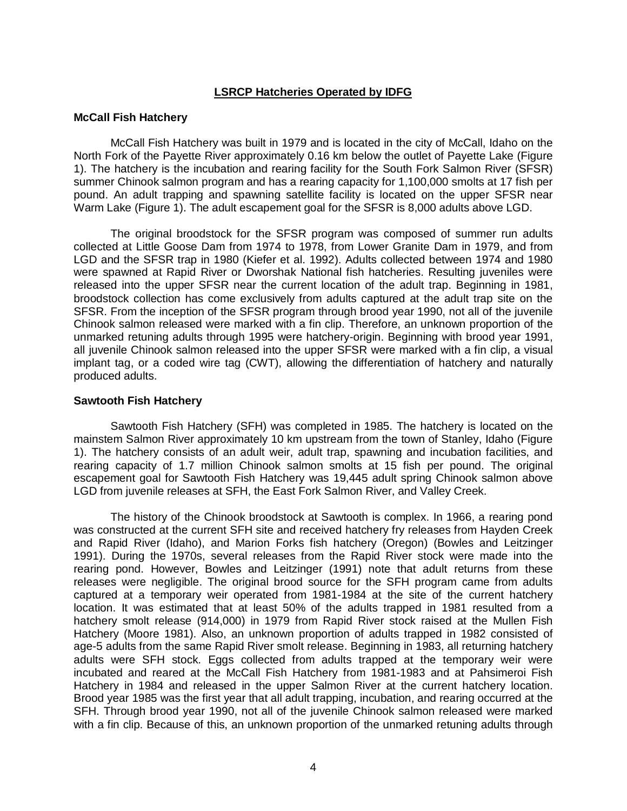# **LSRCP Hatcheries Operated by IDFG**

### <span id="page-10-1"></span><span id="page-10-0"></span>**McCall Fish Hatchery**

McCall Fish Hatchery was built in 1979 and is located in the city of McCall, Idaho on the North Fork of the Payette River approximately 0.16 km below the outlet of Payette Lake (Figure 1). The hatchery is the incubation and rearing facility for the South Fork Salmon River (SFSR) summer Chinook salmon program and has a rearing capacity for 1,100,000 smolts at 17 fish per pound. An adult trapping and spawning satellite facility is located on the upper SFSR near Warm Lake (Figure 1). The adult escapement goal for the SFSR is 8,000 adults above LGD.

The original broodstock for the SFSR program was composed of summer run adults collected at Little Goose Dam from 1974 to 1978, from Lower Granite Dam in 1979, and from LGD and the SFSR trap in 1980 (Kiefer et al. 1992). Adults collected between 1974 and 1980 were spawned at Rapid River or Dworshak National fish hatcheries. Resulting juveniles were released into the upper SFSR near the current location of the adult trap. Beginning in 1981, broodstock collection has come exclusively from adults captured at the adult trap site on the SFSR. From the inception of the SFSR program through brood year 1990, not all of the juvenile Chinook salmon released were marked with a fin clip. Therefore, an unknown proportion of the unmarked retuning adults through 1995 were hatchery-origin. Beginning with brood year 1991, all juvenile Chinook salmon released into the upper SFSR were marked with a fin clip, a visual implant tag, or a coded wire tag (CWT), allowing the differentiation of hatchery and naturally produced adults.

# <span id="page-10-2"></span>**Sawtooth Fish Hatchery**

Sawtooth Fish Hatchery (SFH) was completed in 1985. The hatchery is located on the mainstem Salmon River approximately 10 km upstream from the town of Stanley, Idaho (Figure 1). The hatchery consists of an adult weir, adult trap, spawning and incubation facilities, and rearing capacity of 1.7 million Chinook salmon smolts at 15 fish per pound. The original escapement goal for Sawtooth Fish Hatchery was 19,445 adult spring Chinook salmon above LGD from juvenile releases at SFH, the East Fork Salmon River, and Valley Creek.

The history of the Chinook broodstock at Sawtooth is complex. In 1966, a rearing pond was constructed at the current SFH site and received hatchery fry releases from Hayden Creek and Rapid River (Idaho), and Marion Forks fish hatchery (Oregon) (Bowles and Leitzinger 1991). During the 1970s, several releases from the Rapid River stock were made into the rearing pond. However, Bowles and Leitzinger (1991) note that adult returns from these releases were negligible. The original brood source for the SFH program came from adults captured at a temporary weir operated from 1981-1984 at the site of the current hatchery location. It was estimated that at least 50% of the adults trapped in 1981 resulted from a hatchery smolt release (914,000) in 1979 from Rapid River stock raised at the Mullen Fish Hatchery (Moore 1981). Also, an unknown proportion of adults trapped in 1982 consisted of age-5 adults from the same Rapid River smolt release. Beginning in 1983, all returning hatchery adults were SFH stock. Eggs collected from adults trapped at the temporary weir were incubated and reared at the McCall Fish Hatchery from 1981-1983 and at Pahsimeroi Fish Hatchery in 1984 and released in the upper Salmon River at the current hatchery location. Brood year 1985 was the first year that all adult trapping, incubation, and rearing occurred at the SFH. Through brood year 1990, not all of the juvenile Chinook salmon released were marked with a fin clip. Because of this, an unknown proportion of the unmarked retuning adults through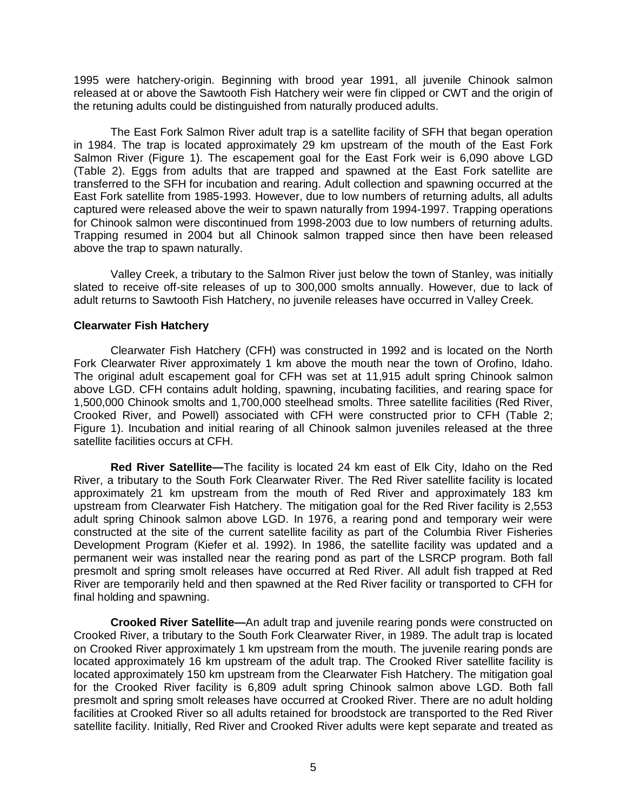1995 were hatchery-origin. Beginning with brood year 1991, all juvenile Chinook salmon released at or above the Sawtooth Fish Hatchery weir were fin clipped or CWT and the origin of the retuning adults could be distinguished from naturally produced adults.

The East Fork Salmon River adult trap is a satellite facility of SFH that began operation in 1984. The trap is located approximately 29 km upstream of the mouth of the East Fork Salmon River (Figure 1). The escapement goal for the East Fork weir is 6,090 above LGD (Table 2). Eggs from adults that are trapped and spawned at the East Fork satellite are transferred to the SFH for incubation and rearing. Adult collection and spawning occurred at the East Fork satellite from 1985-1993. However, due to low numbers of returning adults, all adults captured were released above the weir to spawn naturally from 1994-1997. Trapping operations for Chinook salmon were discontinued from 1998-2003 due to low numbers of returning adults. Trapping resumed in 2004 but all Chinook salmon trapped since then have been released above the trap to spawn naturally.

Valley Creek, a tributary to the Salmon River just below the town of Stanley, was initially slated to receive off-site releases of up to 300,000 smolts annually. However, due to lack of adult returns to Sawtooth Fish Hatchery, no juvenile releases have occurred in Valley Creek.

# <span id="page-11-0"></span>**Clearwater Fish Hatchery**

Clearwater Fish Hatchery (CFH) was constructed in 1992 and is located on the North Fork Clearwater River approximately 1 km above the mouth near the town of Orofino, Idaho. The original adult escapement goal for CFH was set at 11,915 adult spring Chinook salmon above LGD. CFH contains adult holding, spawning, incubating facilities, and rearing space for 1,500,000 Chinook smolts and 1,700,000 steelhead smolts. Three satellite facilities (Red River, Crooked River, and Powell) associated with CFH were constructed prior to CFH (Table 2; Figure 1). Incubation and initial rearing of all Chinook salmon juveniles released at the three satellite facilities occurs at CFH.

<span id="page-11-1"></span>**Red River Satellite—**The facility is located 24 km east of Elk City, Idaho on the Red River, a tributary to the South Fork Clearwater River. The Red River satellite facility is located approximately 21 km upstream from the mouth of Red River and approximately 183 km upstream from Clearwater Fish Hatchery. The mitigation goal for the Red River facility is 2,553 adult spring Chinook salmon above LGD. In 1976, a rearing pond and temporary weir were constructed at the site of the current satellite facility as part of the Columbia River Fisheries Development Program (Kiefer et al. 1992). In 1986, the satellite facility was updated and a permanent weir was installed near the rearing pond as part of the LSRCP program. Both fall presmolt and spring smolt releases have occurred at Red River. All adult fish trapped at Red River are temporarily held and then spawned at the Red River facility or transported to CFH for final holding and spawning.

<span id="page-11-2"></span>**Crooked River Satellite—**An adult trap and juvenile rearing ponds were constructed on Crooked River, a tributary to the South Fork Clearwater River, in 1989. The adult trap is located on Crooked River approximately 1 km upstream from the mouth. The juvenile rearing ponds are located approximately 16 km upstream of the adult trap. The Crooked River satellite facility is located approximately 150 km upstream from the Clearwater Fish Hatchery. The mitigation goal for the Crooked River facility is 6,809 adult spring Chinook salmon above LGD. Both fall presmolt and spring smolt releases have occurred at Crooked River. There are no adult holding facilities at Crooked River so all adults retained for broodstock are transported to the Red River satellite facility. Initially, Red River and Crooked River adults were kept separate and treated as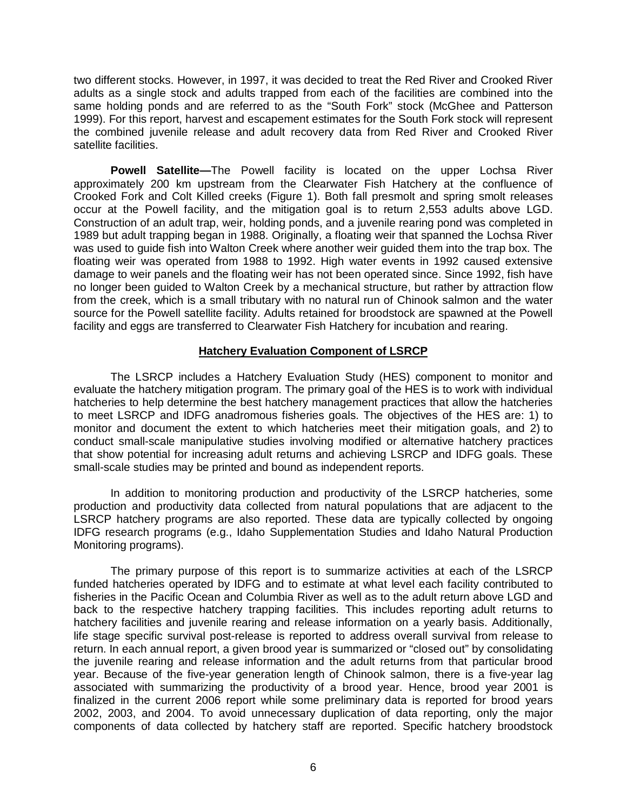two different stocks. However, in 1997, it was decided to treat the Red River and Crooked River adults as a single stock and adults trapped from each of the facilities are combined into the same holding ponds and are referred to as the "South Fork" stock (McGhee and Patterson 1999). For this report, harvest and escapement estimates for the South Fork stock will represent the combined juvenile release and adult recovery data from Red River and Crooked River satellite facilities.

<span id="page-12-0"></span>**Powell Satellite—**The Powell facility is located on the upper Lochsa River approximately 200 km upstream from the Clearwater Fish Hatchery at the confluence of Crooked Fork and Colt Killed creeks (Figure 1). Both fall presmolt and spring smolt releases occur at the Powell facility, and the mitigation goal is to return 2,553 adults above LGD. Construction of an adult trap, weir, holding ponds, and a juvenile rearing pond was completed in 1989 but adult trapping began in 1988. Originally, a floating weir that spanned the Lochsa River was used to guide fish into Walton Creek where another weir guided them into the trap box. The floating weir was operated from 1988 to 1992. High water events in 1992 caused extensive damage to weir panels and the floating weir has not been operated since. Since 1992, fish have no longer been guided to Walton Creek by a mechanical structure, but rather by attraction flow from the creek, which is a small tributary with no natural run of Chinook salmon and the water source for the Powell satellite facility. Adults retained for broodstock are spawned at the Powell facility and eggs are transferred to Clearwater Fish Hatchery for incubation and rearing.

# **Hatchery Evaluation Component of LSRCP**

<span id="page-12-1"></span>The LSRCP includes a Hatchery Evaluation Study (HES) component to monitor and evaluate the hatchery mitigation program. The primary goal of the HES is to work with individual hatcheries to help determine the best hatchery management practices that allow the hatcheries to meet LSRCP and IDFG anadromous fisheries goals. The objectives of the HES are: 1) to monitor and document the extent to which hatcheries meet their mitigation goals, and 2) to conduct small-scale manipulative studies involving modified or alternative hatchery practices that show potential for increasing adult returns and achieving LSRCP and IDFG goals. These small-scale studies may be printed and bound as independent reports.

In addition to monitoring production and productivity of the LSRCP hatcheries, some production and productivity data collected from natural populations that are adjacent to the LSRCP hatchery programs are also reported. These data are typically collected by ongoing IDFG research programs (e.g., Idaho Supplementation Studies and Idaho Natural Production Monitoring programs).

The primary purpose of this report is to summarize activities at each of the LSRCP funded hatcheries operated by IDFG and to estimate at what level each facility contributed to fisheries in the Pacific Ocean and Columbia River as well as to the adult return above LGD and back to the respective hatchery trapping facilities. This includes reporting adult returns to hatchery facilities and juvenile rearing and release information on a yearly basis. Additionally, life stage specific survival post-release is reported to address overall survival from release to return. In each annual report, a given brood year is summarized or "closed out" by consolidating the juvenile rearing and release information and the adult returns from that particular brood year. Because of the five-year generation length of Chinook salmon, there is a five-year lag associated with summarizing the productivity of a brood year. Hence, brood year 2001 is finalized in the current 2006 report while some preliminary data is reported for brood years 2002, 2003, and 2004. To avoid unnecessary duplication of data reporting, only the major components of data collected by hatchery staff are reported. Specific hatchery broodstock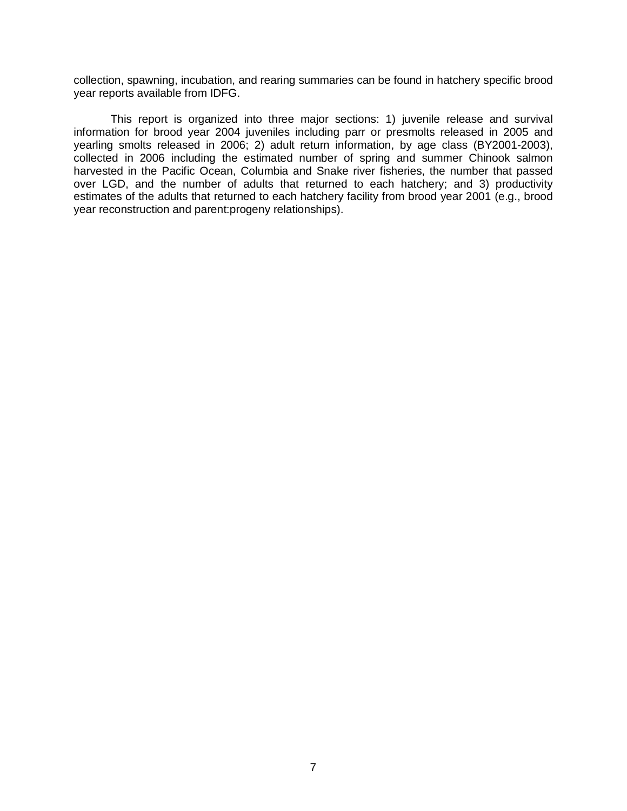collection, spawning, incubation, and rearing summaries can be found in hatchery specific brood year reports available from IDFG.

This report is organized into three major sections: 1) juvenile release and survival information for brood year 2004 juveniles including parr or presmolts released in 2005 and yearling smolts released in 2006; 2) adult return information, by age class (BY2001-2003), collected in 2006 including the estimated number of spring and summer Chinook salmon harvested in the Pacific Ocean, Columbia and Snake river fisheries, the number that passed over LGD, and the number of adults that returned to each hatchery; and 3) productivity estimates of the adults that returned to each hatchery facility from brood year 2001 (e.g., brood year reconstruction and parent:progeny relationships).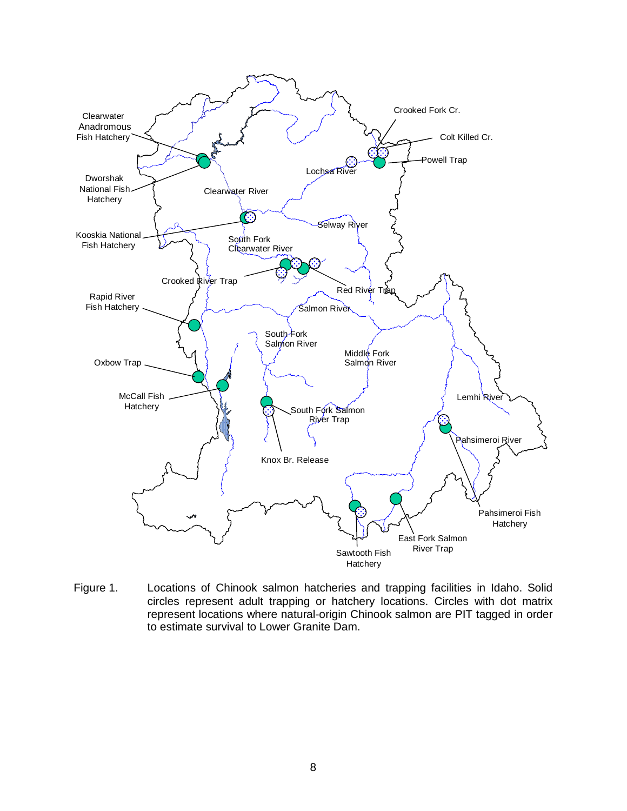

<span id="page-14-0"></span>Figure 1. Locations of Chinook salmon hatcheries and trapping facilities in Idaho. Solid circles represent adult trapping or hatchery locations. Circles with dot matrix represent locations where natural-origin Chinook salmon are PIT tagged in order to estimate survival to Lower Granite Dam.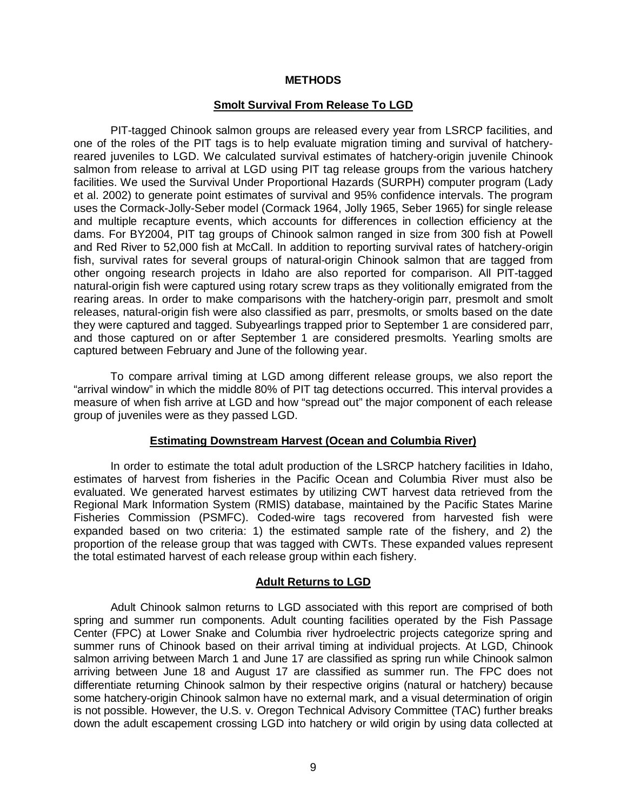### **METHODS**

#### **Smolt Survival From Release To LGD**

<span id="page-15-1"></span><span id="page-15-0"></span>PIT-tagged Chinook salmon groups are released every year from LSRCP facilities, and one of the roles of the PIT tags is to help evaluate migration timing and survival of hatcheryreared juveniles to LGD. We calculated survival estimates of hatchery-origin juvenile Chinook salmon from release to arrival at LGD using PIT tag release groups from the various hatchery facilities. We used the Survival Under Proportional Hazards (SURPH) computer program (Lady et al. 2002) to generate point estimates of survival and 95% confidence intervals. The program uses the Cormack-Jolly-Seber model (Cormack 1964, Jolly 1965, Seber 1965) for single release and multiple recapture events, which accounts for differences in collection efficiency at the dams. For BY2004, PIT tag groups of Chinook salmon ranged in size from 300 fish at Powell and Red River to 52,000 fish at McCall. In addition to reporting survival rates of hatchery-origin fish, survival rates for several groups of natural-origin Chinook salmon that are tagged from other ongoing research projects in Idaho are also reported for comparison. All PIT-tagged natural-origin fish were captured using rotary screw traps as they volitionally emigrated from the rearing areas. In order to make comparisons with the hatchery-origin parr, presmolt and smolt releases, natural-origin fish were also classified as parr, presmolts, or smolts based on the date they were captured and tagged. Subyearlings trapped prior to September 1 are considered parr, and those captured on or after September 1 are considered presmolts. Yearling smolts are captured between February and June of the following year.

To compare arrival timing at LGD among different release groups, we also report the "arrival window" in which the middle 80% of PIT tag detections occurred. This interval provides a measure of when fish arrive at LGD and how "spread out" the major component of each release group of juveniles were as they passed LGD.

#### **Estimating Downstream Harvest (Ocean and Columbia River)**

<span id="page-15-2"></span>In order to estimate the total adult production of the LSRCP hatchery facilities in Idaho, estimates of harvest from fisheries in the Pacific Ocean and Columbia River must also be evaluated. We generated harvest estimates by utilizing CWT harvest data retrieved from the Regional Mark Information System (RMIS) database, maintained by the Pacific States Marine Fisheries Commission (PSMFC). Coded-wire tags recovered from harvested fish were expanded based on two criteria: 1) the estimated sample rate of the fishery, and 2) the proportion of the release group that was tagged with CWTs. These expanded values represent the total estimated harvest of each release group within each fishery.

#### **Adult Returns to LGD**

<span id="page-15-3"></span>Adult Chinook salmon returns to LGD associated with this report are comprised of both spring and summer run components. Adult counting facilities operated by the Fish Passage Center (FPC) at Lower Snake and Columbia river hydroelectric projects categorize spring and summer runs of Chinook based on their arrival timing at individual projects. At LGD, Chinook salmon arriving between March 1 and June 17 are classified as spring run while Chinook salmon arriving between June 18 and August 17 are classified as summer run. The FPC does not differentiate returning Chinook salmon by their respective origins (natural or hatchery) because some hatchery-origin Chinook salmon have no external mark, and a visual determination of origin is not possible. However, the U.S. v. Oregon Technical Advisory Committee (TAC) further breaks down the adult escapement crossing LGD into hatchery or wild origin by using data collected at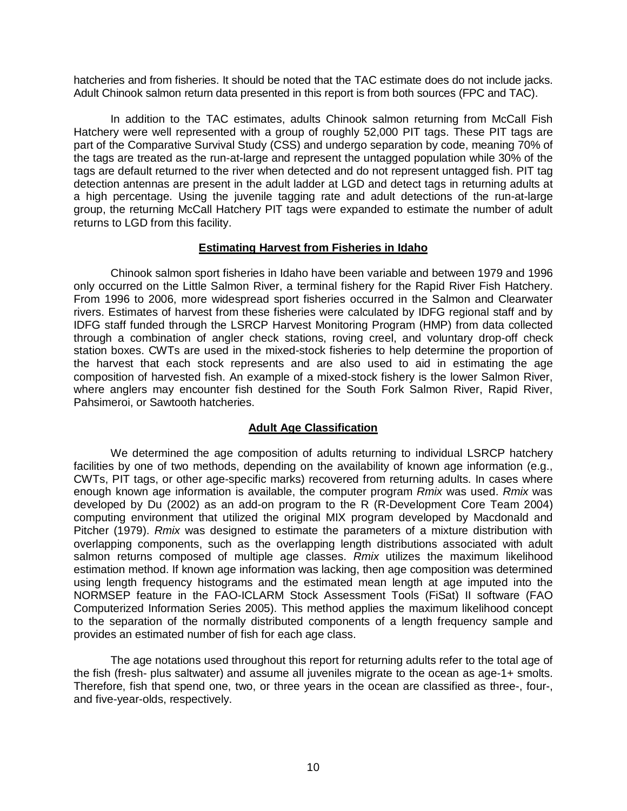hatcheries and from fisheries. It should be noted that the TAC estimate does do not include jacks. Adult Chinook salmon return data presented in this report is from both sources (FPC and TAC).

In addition to the TAC estimates, adults Chinook salmon returning from McCall Fish Hatchery were well represented with a group of roughly 52,000 PIT tags. These PIT tags are part of the Comparative Survival Study (CSS) and undergo separation by code, meaning 70% of the tags are treated as the run-at-large and represent the untagged population while 30% of the tags are default returned to the river when detected and do not represent untagged fish. PIT tag detection antennas are present in the adult ladder at LGD and detect tags in returning adults at a high percentage. Using the juvenile tagging rate and adult detections of the run-at-large group, the returning McCall Hatchery PIT tags were expanded to estimate the number of adult returns to LGD from this facility.

# **Estimating Harvest from Fisheries in Idaho**

<span id="page-16-0"></span>Chinook salmon sport fisheries in Idaho have been variable and between 1979 and 1996 only occurred on the Little Salmon River, a terminal fishery for the Rapid River Fish Hatchery. From 1996 to 2006, more widespread sport fisheries occurred in the Salmon and Clearwater rivers. Estimates of harvest from these fisheries were calculated by IDFG regional staff and by IDFG staff funded through the LSRCP Harvest Monitoring Program (HMP) from data collected through a combination of angler check stations, roving creel, and voluntary drop-off check station boxes. CWTs are used in the mixed-stock fisheries to help determine the proportion of the harvest that each stock represents and are also used to aid in estimating the age composition of harvested fish. An example of a mixed-stock fishery is the lower Salmon River, where anglers may encounter fish destined for the South Fork Salmon River, Rapid River, Pahsimeroi, or Sawtooth hatcheries.

# **Adult Age Classification**

<span id="page-16-1"></span>We determined the age composition of adults returning to individual LSRCP hatchery facilities by one of two methods, depending on the availability of known age information (e.g., CWTs, PIT tags, or other age-specific marks) recovered from returning adults. In cases where enough known age information is available, the computer program *Rmix* was used. *Rmix* was developed by Du (2002) as an add-on program to the R (R-Development Core Team 2004) computing environment that utilized the original MIX program developed by Macdonald and Pitcher (1979). *Rmix* was designed to estimate the parameters of a mixture distribution with overlapping components, such as the overlapping length distributions associated with adult salmon returns composed of multiple age classes. *Rmix* utilizes the maximum likelihood estimation method. If known age information was lacking, then age composition was determined using length frequency histograms and the estimated mean length at age imputed into the NORMSEP feature in the FAO-ICLARM Stock Assessment Tools (FiSat) II software (FAO Computerized Information Series 2005). This method applies the maximum likelihood concept to the separation of the normally distributed components of a length frequency sample and provides an estimated number of fish for each age class.

The age notations used throughout this report for returning adults refer to the total age of the fish (fresh- plus saltwater) and assume all juveniles migrate to the ocean as age-1+ smolts. Therefore, fish that spend one, two, or three years in the ocean are classified as three-, four-, and five-year-olds, respectively.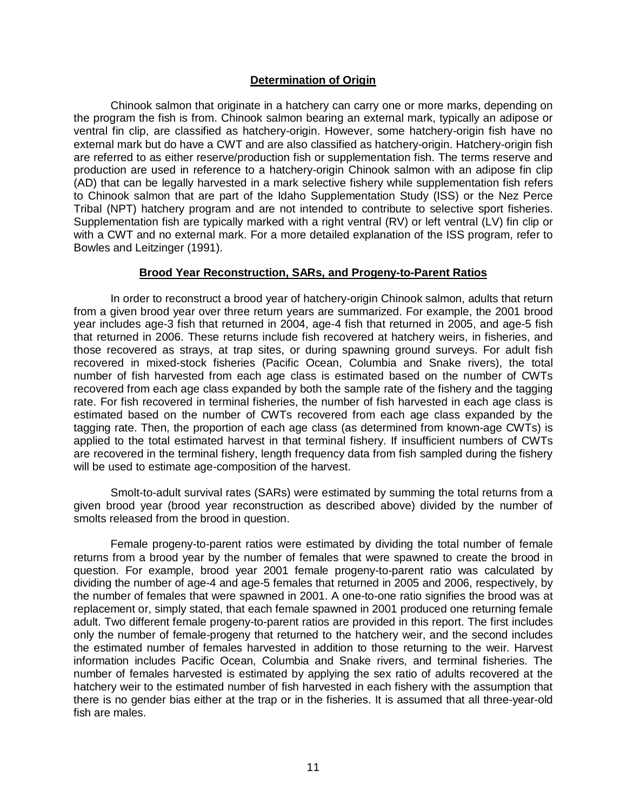# **Determination of Origin**

<span id="page-17-0"></span>Chinook salmon that originate in a hatchery can carry one or more marks, depending on the program the fish is from. Chinook salmon bearing an external mark, typically an adipose or ventral fin clip, are classified as hatchery-origin. However, some hatchery-origin fish have no external mark but do have a CWT and are also classified as hatchery-origin. Hatchery-origin fish are referred to as either reserve/production fish or supplementation fish. The terms reserve and production are used in reference to a hatchery-origin Chinook salmon with an adipose fin clip (AD) that can be legally harvested in a mark selective fishery while supplementation fish refers to Chinook salmon that are part of the Idaho Supplementation Study (ISS) or the Nez Perce Tribal (NPT) hatchery program and are not intended to contribute to selective sport fisheries. Supplementation fish are typically marked with a right ventral (RV) or left ventral (LV) fin clip or with a CWT and no external mark. For a more detailed explanation of the ISS program, refer to Bowles and Leitzinger (1991).

# **Brood Year Reconstruction, SARs, and Progeny-to-Parent Ratios**

<span id="page-17-1"></span>In order to reconstruct a brood year of hatchery-origin Chinook salmon, adults that return from a given brood year over three return years are summarized. For example, the 2001 brood year includes age-3 fish that returned in 2004, age-4 fish that returned in 2005, and age-5 fish that returned in 2006. These returns include fish recovered at hatchery weirs, in fisheries, and those recovered as strays, at trap sites, or during spawning ground surveys. For adult fish recovered in mixed-stock fisheries (Pacific Ocean, Columbia and Snake rivers), the total number of fish harvested from each age class is estimated based on the number of CWTs recovered from each age class expanded by both the sample rate of the fishery and the tagging rate. For fish recovered in terminal fisheries, the number of fish harvested in each age class is estimated based on the number of CWTs recovered from each age class expanded by the tagging rate. Then, the proportion of each age class (as determined from known-age CWTs) is applied to the total estimated harvest in that terminal fishery. If insufficient numbers of CWTs are recovered in the terminal fishery, length frequency data from fish sampled during the fishery will be used to estimate age-composition of the harvest.

Smolt-to-adult survival rates (SARs) were estimated by summing the total returns from a given brood year (brood year reconstruction as described above) divided by the number of smolts released from the brood in question.

Female progeny-to-parent ratios were estimated by dividing the total number of female returns from a brood year by the number of females that were spawned to create the brood in question. For example, brood year 2001 female progeny-to-parent ratio was calculated by dividing the number of age-4 and age-5 females that returned in 2005 and 2006, respectively, by the number of females that were spawned in 2001. A one-to-one ratio signifies the brood was at replacement or, simply stated, that each female spawned in 2001 produced one returning female adult. Two different female progeny-to-parent ratios are provided in this report. The first includes only the number of female-progeny that returned to the hatchery weir, and the second includes the estimated number of females harvested in addition to those returning to the weir. Harvest information includes Pacific Ocean, Columbia and Snake rivers, and terminal fisheries. The number of females harvested is estimated by applying the sex ratio of adults recovered at the hatchery weir to the estimated number of fish harvested in each fishery with the assumption that there is no gender bias either at the trap or in the fisheries. It is assumed that all three-year-old fish are males.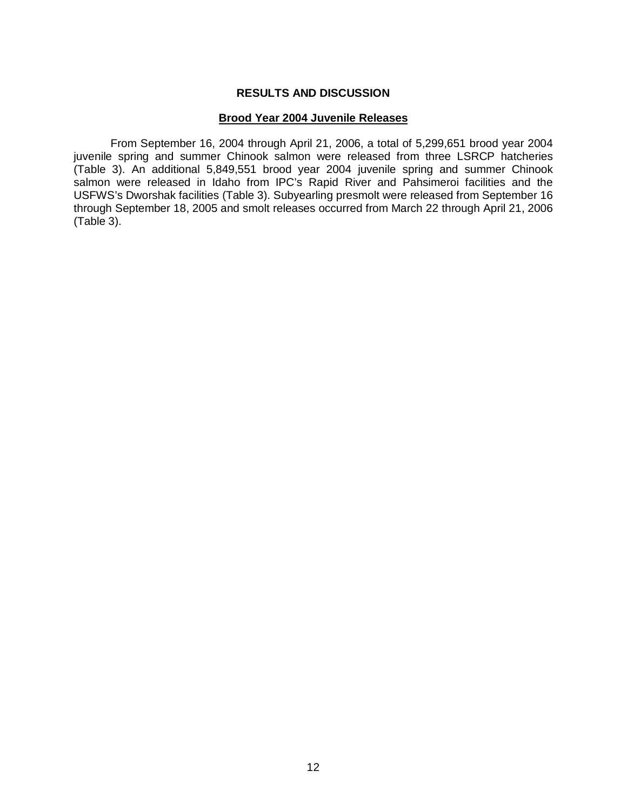# **RESULTS AND DISCUSSION**

# **Brood Year 2004 Juvenile Releases**

<span id="page-18-1"></span><span id="page-18-0"></span>From September 16, 2004 through April 21, 2006, a total of 5,299,651 brood year 2004 juvenile spring and summer Chinook salmon were released from three LSRCP hatcheries (Table 3). An additional 5,849,551 brood year 2004 juvenile spring and summer Chinook salmon were released in Idaho from IPC's Rapid River and Pahsimeroi facilities and the USFWS's Dworshak facilities (Table 3). Subyearling presmolt were released from September 16 through September 18, 2005 and smolt releases occurred from March 22 through April 21, 2006 (Table 3).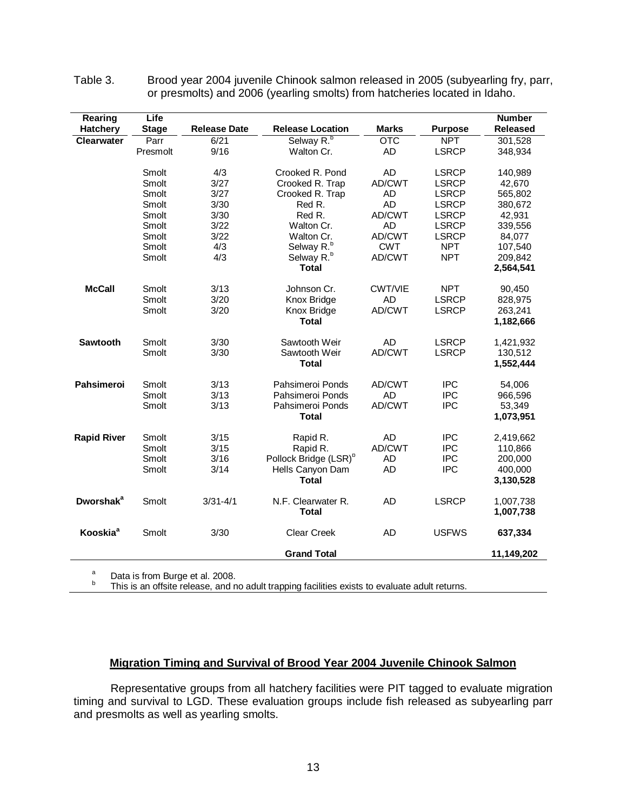| Rearing                     | Life           |                     |                                   |                  |                              | <b>Number</b>      |
|-----------------------------|----------------|---------------------|-----------------------------------|------------------|------------------------------|--------------------|
| <b>Hatchery</b>             | <b>Stage</b>   | <b>Release Date</b> | <b>Release Location</b>           | <b>Marks</b>     | <b>Purpose</b>               | <b>Released</b>    |
| <b>Clearwater</b>           | Parr           | 6/21                | Selway R. <sup>b</sup>            | $\overline{OTC}$ | <b>NPT</b>                   | 301,528            |
|                             | Presmolt       | 9/16                | Walton Cr.                        | AD               | <b>LSRCP</b>                 | 348,934            |
|                             |                |                     |                                   |                  |                              |                    |
|                             | Smolt          | 4/3                 | Crooked R. Pond                   | <b>AD</b>        | <b>LSRCP</b>                 | 140,989            |
|                             | Smolt<br>Smolt | 3/27<br>3/27        | Crooked R. Trap                   | AD/CWT           | <b>LSRCP</b>                 | 42,670             |
|                             | Smolt          | 3/30                | Crooked R. Trap<br>Red R.         | AD<br><b>AD</b>  | <b>LSRCP</b><br><b>LSRCP</b> | 565,802<br>380,672 |
|                             | Smolt          | 3/30                | Red R.                            | AD/CWT           | <b>LSRCP</b>                 | 42,931             |
|                             | Smolt          | 3/22                | Walton Cr.                        | <b>AD</b>        | <b>LSRCP</b>                 | 339,556            |
|                             | Smolt          | 3/22                | Walton Cr.                        | AD/CWT           | <b>LSRCP</b>                 | 84,077             |
|                             | Smolt          | 4/3                 | Selway R. <sup>b</sup>            | <b>CWT</b>       | <b>NPT</b>                   | 107,540            |
|                             | Smolt          | 4/3                 | Selway R. <sup>b</sup>            | AD/CWT           | <b>NPT</b>                   | 209,842            |
|                             |                |                     | <b>Total</b>                      |                  |                              | 2,564,541          |
|                             |                |                     |                                   |                  |                              |                    |
| <b>McCall</b>               | Smolt          | 3/13                | Johnson Cr.                       | <b>CWT/VIE</b>   | <b>NPT</b>                   | 90,450             |
|                             | Smolt          | 3/20                | Knox Bridge                       | <b>AD</b>        | <b>LSRCP</b>                 | 828,975            |
|                             | Smolt          | 3/20                | Knox Bridge                       | AD/CWT           | <b>LSRCP</b>                 | 263,241            |
|                             |                |                     | <b>Total</b>                      |                  |                              | 1,182,666          |
| Sawtooth                    | Smolt          | 3/30                | Sawtooth Weir                     | <b>AD</b>        | <b>LSRCP</b>                 | 1,421,932          |
|                             | Smolt          | 3/30                | Sawtooth Weir                     | AD/CWT           | <b>LSRCP</b>                 | 130,512            |
|                             |                |                     | <b>Total</b>                      |                  |                              | 1,552,444          |
|                             |                |                     |                                   |                  |                              |                    |
| <b>Pahsimeroi</b>           | Smolt          | 3/13                | Pahsimeroi Ponds                  | AD/CWT           | <b>IPC</b>                   | 54,006             |
|                             | Smolt          | 3/13                | Pahsimeroi Ponds                  | <b>AD</b>        | <b>IPC</b>                   | 966,596            |
|                             | Smolt          | 3/13                | Pahsimeroi Ponds                  | AD/CWT           | <b>IPC</b>                   | 53,349             |
|                             |                |                     | <b>Total</b>                      |                  |                              | 1,073,951          |
| <b>Rapid River</b>          | Smolt          | 3/15                | Rapid R.                          | <b>AD</b>        | <b>IPC</b>                   | 2,419,662          |
|                             | Smolt          | 3/15                | Rapid R.                          | AD/CWT           | <b>IPC</b>                   | 110,866            |
|                             | Smolt          | 3/16                | Pollock Bridge (LSR) <sup>b</sup> | <b>AD</b>        | <b>IPC</b>                   | 200,000            |
|                             | Smolt          | 3/14                | Hells Canyon Dam                  | <b>AD</b>        | <b>IPC</b>                   | 400,000            |
|                             |                |                     | Total                             |                  |                              | 3,130,528          |
| <b>Dworshak<sup>a</sup></b> | Smolt          | $3/31 - 4/1$        | N.F. Clearwater R.                | <b>AD</b>        | <b>LSRCP</b>                 | 1,007,738          |
|                             |                |                     | <b>Total</b>                      |                  |                              | 1,007,738          |
| Kooskia <sup>a</sup>        | Smolt          | 3/30                | <b>Clear Creek</b>                | <b>AD</b>        | <b>USFWS</b>                 | 637,334            |
|                             |                |                     |                                   |                  |                              |                    |
|                             |                |                     | <b>Grand Total</b>                |                  |                              | 11,149,202         |

<span id="page-19-1"></span>Table 3. Brood year 2004 juvenile Chinook salmon released in 2005 (subyearling fry, parr, or presmolts) and 2006 (yearling smolts) from hatcheries located in Idaho.

<sup>a</sup> Data is from Burge et al. 2008.<br><sup>b</sup> This is an offsite release, and no adult trapping facilities exists to evaluate adult returns.

# **Migration Timing and Survival of Brood Year 2004 Juvenile Chinook Salmon**

<span id="page-19-0"></span>Representative groups from all hatchery facilities were PIT tagged to evaluate migration timing and survival to LGD. These evaluation groups include fish released as subyearling parr and presmolts as well as yearling smolts.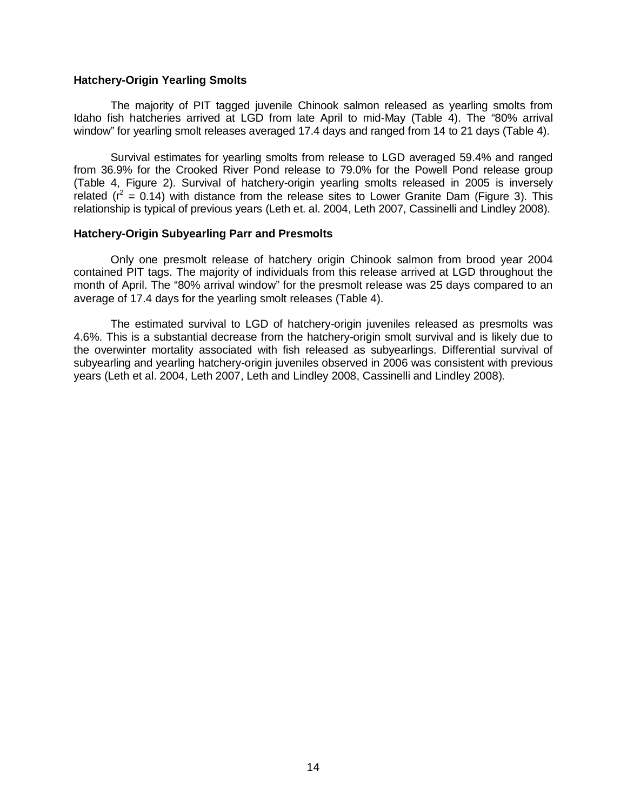#### <span id="page-20-0"></span>**Hatchery-Origin Yearling Smolts**

The majority of PIT tagged juvenile Chinook salmon released as yearling smolts from Idaho fish hatcheries arrived at LGD from late April to mid-May (Table 4). The "80% arrival window" for yearling smolt releases averaged 17.4 days and ranged from 14 to 21 days (Table 4).

Survival estimates for yearling smolts from release to LGD averaged 59.4% and ranged from 36.9% for the Crooked River Pond release to 79.0% for the Powell Pond release group (Table 4, Figure 2). Survival of hatchery-origin yearling smolts released in 2005 is inversely related ( $r^2$  = 0.14) with distance from the release sites to Lower Granite Dam (Figure 3). This relationship is typical of previous years (Leth et. al. 2004, Leth 2007, Cassinelli and Lindley 2008).

#### <span id="page-20-1"></span>**Hatchery-Origin Subyearling Parr and Presmolts**

Only one presmolt release of hatchery origin Chinook salmon from brood year 2004 contained PIT tags. The majority of individuals from this release arrived at LGD throughout the month of April. The "80% arrival window" for the presmolt release was 25 days compared to an average of 17.4 days for the yearling smolt releases (Table 4).

The estimated survival to LGD of hatchery-origin juveniles released as presmolts was 4.6%. This is a substantial decrease from the hatchery-origin smolt survival and is likely due to the overwinter mortality associated with fish released as subyearlings. Differential survival of subyearling and yearling hatchery-origin juveniles observed in 2006 was consistent with previous years (Leth et al. 2004, Leth 2007, Leth and Lindley 2008, Cassinelli and Lindley 2008).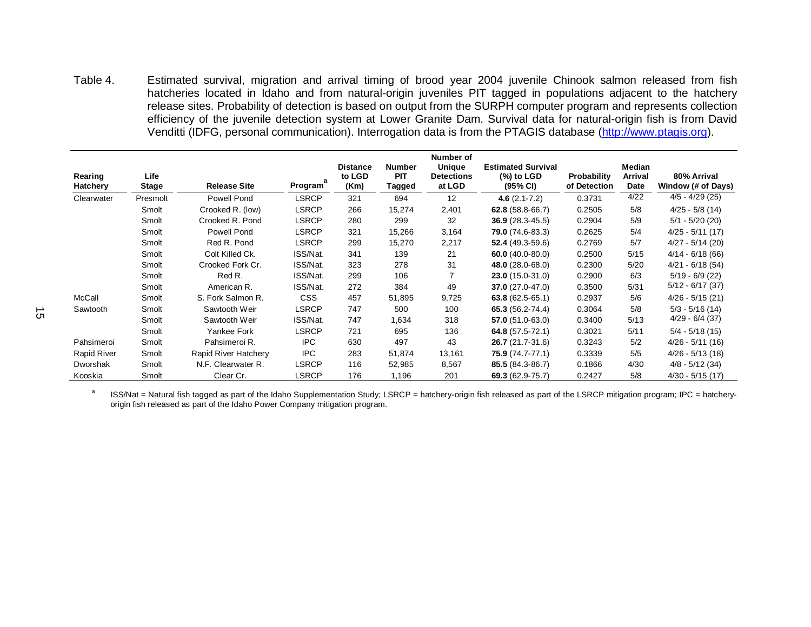<span id="page-21-0"></span>

| Table 4.                   |                | Estimated survival, migration and arrival timing of brood year 2004 juvenile Chinook salmon released from fish<br>hatcheries located in Idaho and from natural-origin juveniles PIT tagged in populations adjacent to the hatchery<br>release sites. Probability of detection is based on output from the SURPH computer program and represents collection<br>efficiency of the juvenile detection system at Lower Granite Dam. Survival data for natural-origin fish is from David<br>Venditti (IDFG, personal communication). Interrogation data is from the PTAGIS database (http://www.ptagis.org). |                              |                                   |                                |                                              |                                                       |                                    |                                  |                                   |
|----------------------------|----------------|---------------------------------------------------------------------------------------------------------------------------------------------------------------------------------------------------------------------------------------------------------------------------------------------------------------------------------------------------------------------------------------------------------------------------------------------------------------------------------------------------------------------------------------------------------------------------------------------------------|------------------------------|-----------------------------------|--------------------------------|----------------------------------------------|-------------------------------------------------------|------------------------------------|----------------------------------|-----------------------------------|
|                            |                |                                                                                                                                                                                                                                                                                                                                                                                                                                                                                                                                                                                                         |                              |                                   |                                | Number of                                    |                                                       |                                    |                                  |                                   |
| Rearing<br><b>Hatchery</b> | Life<br>Stage  | <b>Release Site</b>                                                                                                                                                                                                                                                                                                                                                                                                                                                                                                                                                                                     | Program <sup>-</sup>         | <b>Distance</b><br>to LGD<br>(Km) | <b>Number</b><br>PIT<br>Tagged | <b>Unique</b><br><b>Detections</b><br>at LGD | <b>Estimated Survival</b><br>$(%)$ to LGD<br>(95% CI) | <b>Probability</b><br>of Detection | Median<br>Arrival<br><b>Date</b> | 80% Arrival<br>Window (# of Days) |
| Clearwater                 | Presmolt       | Powell Pond                                                                                                                                                                                                                                                                                                                                                                                                                                                                                                                                                                                             | <b>LSRCP</b>                 | 321                               | 694                            | 12                                           | 4.6 $(2.1 - 7.2)$                                     | 0.3731                             | 4/22                             | $4/5 - 4/29(25)$                  |
|                            | Smolt          | Crooked R. (low)                                                                                                                                                                                                                                                                                                                                                                                                                                                                                                                                                                                        | <b>LSRCP</b>                 | 266                               | 15,274                         | 2,401                                        | $62.8(58.8-66.7)$                                     | 0.2505                             | 5/8                              | $4/25 - 5/8(14)$                  |
|                            | Smolt          | Crooked R. Pond                                                                                                                                                                                                                                                                                                                                                                                                                                                                                                                                                                                         | <b>LSRCP</b>                 | 280                               | 299                            | 32                                           | $36.9(28.3-45.5)$                                     | 0.2904                             | 5/9                              | $5/1 - 5/20$ (20)                 |
|                            | Smolt          | Powell Pond                                                                                                                                                                                                                                                                                                                                                                                                                                                                                                                                                                                             | <b>LSRCP</b>                 | 321                               | 15,266                         | 3,164                                        | $79.0(74.6-83.3)$                                     | 0.2625                             | 5/4                              | $4/25 - 5/11$ (17)                |
|                            | Smolt          | Red R. Pond                                                                                                                                                                                                                                                                                                                                                                                                                                                                                                                                                                                             | <b>LSRCP</b>                 | 299                               | 15,270                         | 2,217                                        | 52.4 $(49.3 - 59.6)$                                  | 0.2769                             | 5/7                              | $4/27 - 5/14$ (20)                |
|                            | Smolt          | Colt Killed Ck.                                                                                                                                                                                                                                                                                                                                                                                                                                                                                                                                                                                         | ISS/Nat.                     | 341                               | 139                            | 21                                           | 60.0 $(40.0 - 80.0)$                                  | 0.2500                             | 5/15                             | $4/14 - 6/18(66)$                 |
|                            | Smolt          | Crooked Fork Cr.                                                                                                                                                                                                                                                                                                                                                                                                                                                                                                                                                                                        | ISS/Nat.                     | 323                               | 278                            | 31                                           | 48.0 (28.0-68.0)                                      | 0.2300                             | 5/20                             | $4/21 - 6/18(54)$                 |
|                            | Smolt          | Red R.                                                                                                                                                                                                                                                                                                                                                                                                                                                                                                                                                                                                  | ISS/Nat.                     | 299                               | 106                            | 7                                            | $23.0(15.0-31.0)$                                     | 0.2900                             | 6/3                              | $5/19 - 6/9(22)$                  |
|                            | Smolt          | American R.                                                                                                                                                                                                                                                                                                                                                                                                                                                                                                                                                                                             | ISS/Nat.                     | 272                               | 384                            | 49                                           | $37.0(27.0-47.0)$                                     | 0.3500                             | 5/31                             | $5/12 - 6/17$ (37)                |
| McCall                     | Smolt          | S. Fork Salmon R.                                                                                                                                                                                                                                                                                                                                                                                                                                                                                                                                                                                       | <b>CSS</b>                   | 457                               | 51,895                         | 9,725                                        | 63.8 $(62.5 - 65.1)$                                  | 0.2937                             | 5/6                              | $4/26 - 5/15(21)$                 |
|                            | Smolt          | Sawtooth Weir                                                                                                                                                                                                                                                                                                                                                                                                                                                                                                                                                                                           | <b>LSRCP</b>                 | 747                               | 500                            | 100                                          | 65.3 (56.2-74.4)                                      | 0.3064                             | 5/8                              | $5/3 - 5/16(14)$                  |
| Sawtooth                   | Smolt          | Sawtooth Weir                                                                                                                                                                                                                                                                                                                                                                                                                                                                                                                                                                                           | ISS/Nat.                     | 747                               | 1,634                          | 318                                          | $57.0(51.0-63.0)$                                     | 0.3400                             | 5/13                             | $4/29 - 6/4$ (37)                 |
|                            | Smolt          | Yankee Fork                                                                                                                                                                                                                                                                                                                                                                                                                                                                                                                                                                                             | <b>LSRCP</b>                 | 721                               | 695                            | 136                                          | 64.8 $(57.5 - 72.1)$                                  | 0.3021                             | 5/11                             | $5/4 - 5/18(15)$                  |
| Pahsimeroi                 | Smolt          | Pahsimeroi R.                                                                                                                                                                                                                                                                                                                                                                                                                                                                                                                                                                                           | <b>IPC</b>                   | 630                               | 497                            | 43                                           | $26.7(21.7-31.6)$                                     | 0.3243                             | 5/2                              | $4/26 - 5/11(16)$                 |
| Rapid River                | Smolt          | Rapid River Hatchery                                                                                                                                                                                                                                                                                                                                                                                                                                                                                                                                                                                    | <b>IPC</b>                   | 283                               | 51,874                         | 13,161                                       | 75.9 (74.7-77.1)                                      | 0.3339                             | 5/5                              | $4/26 - 5/13(18)$                 |
| Dworshak<br>Kooskia        | Smolt<br>Smolt | N.F. Clearwater R.<br>Clear Cr.                                                                                                                                                                                                                                                                                                                                                                                                                                                                                                                                                                         | <b>LSRCP</b><br><b>LSRCP</b> | 116<br>176                        | 52,985                         | 8,567                                        | 85.5 (84.3-86.7)                                      | 0.1866                             | 4/30                             | $4/8 - 5/12(34)$                  |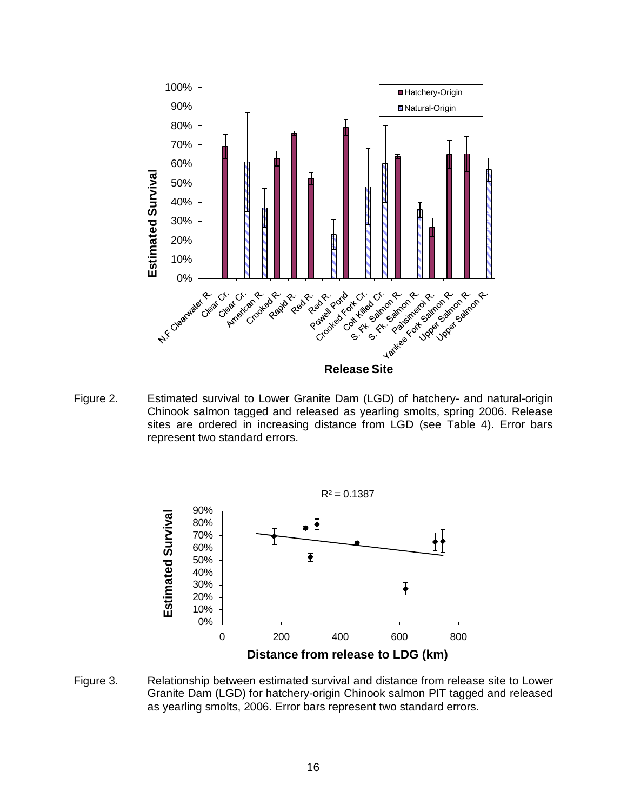

<span id="page-22-0"></span>Figure 2. Estimated survival to Lower Granite Dam (LGD) of hatchery- and natural-origin Chinook salmon tagged and released as yearling smolts, spring 2006. Release sites are ordered in increasing distance from LGD (see Table 4). Error bars represent two standard errors.



<span id="page-22-1"></span>Figure 3. Relationship between estimated survival and distance from release site to Lower Granite Dam (LGD) for hatchery-origin Chinook salmon PIT tagged and released as yearling smolts, 2006. Error bars represent two standard errors.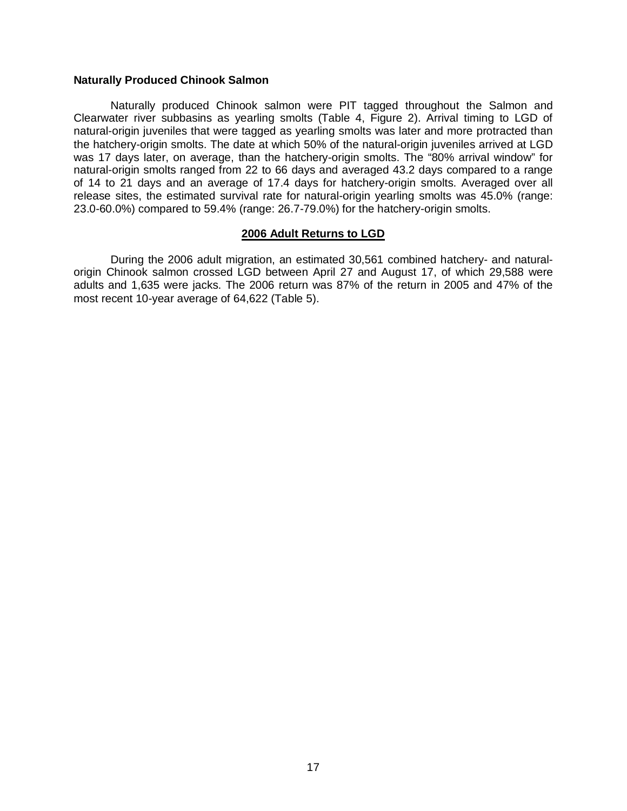### <span id="page-23-0"></span>**Naturally Produced Chinook Salmon**

Naturally produced Chinook salmon were PIT tagged throughout the Salmon and Clearwater river subbasins as yearling smolts (Table 4, Figure 2). Arrival timing to LGD of natural-origin juveniles that were tagged as yearling smolts was later and more protracted than the hatchery-origin smolts. The date at which 50% of the natural-origin juveniles arrived at LGD was 17 days later, on average, than the hatchery-origin smolts. The "80% arrival window" for natural-origin smolts ranged from 22 to 66 days and averaged 43.2 days compared to a range of 14 to 21 days and an average of 17.4 days for hatchery-origin smolts. Averaged over all release sites, the estimated survival rate for natural-origin yearling smolts was 45.0% (range: 23.0-60.0%) compared to 59.4% (range: 26.7-79.0%) for the hatchery-origin smolts.

# **2006 Adult Returns to LGD**

<span id="page-23-1"></span>During the 2006 adult migration, an estimated 30,561 combined hatchery- and naturalorigin Chinook salmon crossed LGD between April 27 and August 17, of which 29,588 were adults and 1,635 were jacks. The 2006 return was 87% of the return in 2005 and 47% of the most recent 10-year average of 64,622 (Table 5).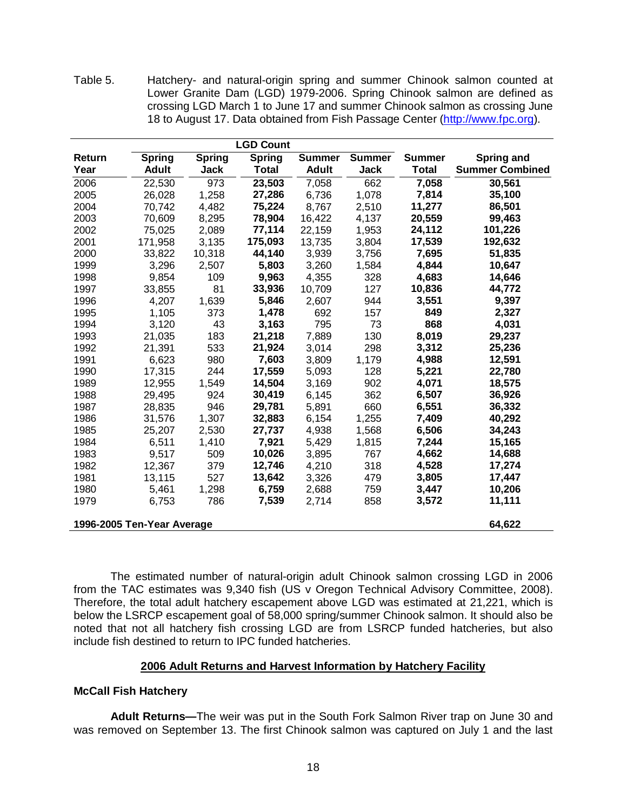<span id="page-24-3"></span>Table 5. Hatchery- and natural-origin spring and summer Chinook salmon counted at Lower Granite Dam (LGD) 1979-2006. Spring Chinook salmon are defined as crossing LGD March 1 to June 17 and summer Chinook salmon as crossing June 18 to August 17. Data obtained from Fish Passage Center [\(http://www.fpc.org\)](http://www.fpc.org/).

|                            |               |               | <b>LGD Count</b> |               |               |               |                        |
|----------------------------|---------------|---------------|------------------|---------------|---------------|---------------|------------------------|
| Return                     | <b>Spring</b> | <b>Spring</b> | <b>Spring</b>    | <b>Summer</b> | <b>Summer</b> | <b>Summer</b> | <b>Spring and</b>      |
| Year                       | <b>Adult</b>  | <b>Jack</b>   | <b>Total</b>     | <b>Adult</b>  | <b>Jack</b>   | <b>Total</b>  | <b>Summer Combined</b> |
| 2006                       | 22,530        | 973           | 23,503           | 7,058         | 662           | 7,058         | 30,561                 |
| 2005                       | 26,028        | 1,258         | 27,286           | 6,736         | 1,078         | 7,814         | 35,100                 |
| 2004                       | 70,742        | 4,482         | 75,224           | 8,767         | 2,510         | 11,277        | 86,501                 |
| 2003                       | 70,609        | 8,295         | 78,904           | 16,422        | 4,137         | 20,559        | 99,463                 |
| 2002                       | 75,025        | 2,089         | 77,114           | 22,159        | 1,953         | 24,112        | 101,226                |
| 2001                       | 171,958       | 3,135         | 175,093          | 13,735        | 3,804         | 17,539        | 192,632                |
| 2000                       | 33,822        | 10,318        | 44,140           | 3,939         | 3,756         | 7,695         | 51,835                 |
| 1999                       | 3,296         | 2,507         | 5,803            | 3,260         | 1,584         | 4,844         | 10,647                 |
| 1998                       | 9,854         | 109           | 9,963            | 4,355         | 328           | 4,683         | 14,646                 |
| 1997                       | 33,855        | 81            | 33,936           | 10,709        | 127           | 10,836        | 44,772                 |
| 1996                       | 4,207         | 1,639         | 5,846            | 2,607         | 944           | 3,551         | 9,397                  |
| 1995                       | 1,105         | 373           | 1,478            | 692           | 157           | 849           | 2,327                  |
| 1994                       | 3,120         | 43            | 3,163            | 795           | 73            | 868           | 4,031                  |
| 1993                       | 21,035        | 183           | 21,218           | 7,889         | 130           | 8,019         | 29,237                 |
| 1992                       | 21,391        | 533           | 21,924           | 3,014         | 298           | 3,312         | 25,236                 |
| 1991                       | 6,623         | 980           | 7,603            | 3,809         | 1,179         | 4,988         | 12,591                 |
| 1990                       | 17,315        | 244           | 17,559           | 5,093         | 128           | 5,221         | 22,780                 |
| 1989                       | 12,955        | 1,549         | 14,504           | 3,169         | 902           | 4,071         | 18,575                 |
| 1988                       | 29,495        | 924           | 30,419           | 6,145         | 362           | 6,507         | 36,926                 |
| 1987                       | 28,835        | 946           | 29,781           | 5,891         | 660           | 6,551         | 36,332                 |
| 1986                       | 31,576        | 1,307         | 32,883           | 6,154         | 1,255         | 7,409         | 40,292                 |
| 1985                       | 25,207        | 2,530         | 27,737           | 4,938         | 1,568         | 6,506         | 34,243                 |
| 1984                       | 6,511         | 1,410         | 7,921            | 5,429         | 1,815         | 7,244         | 15,165                 |
| 1983                       | 9,517         | 509           | 10,026           | 3,895         | 767           | 4,662         | 14,688                 |
| 1982                       | 12,367        | 379           | 12,746           | 4,210         | 318           | 4,528         | 17,274                 |
| 1981                       | 13,115        | 527           | 13,642           | 3,326         | 479           | 3,805         | 17,447                 |
| 1980                       | 5,461         | 1,298         | 6,759            | 2,688         | 759           | 3,447         | 10,206                 |
| 1979                       | 6,753         | 786           | 7,539            | 2,714         | 858           | 3,572         | 11,111                 |
| 1996-2005 Ten-Year Average |               |               |                  |               |               |               | 64,622                 |

The estimated number of natural-origin adult Chinook salmon crossing LGD in 2006 from the TAC estimates was 9,340 fish (US v Oregon Technical Advisory Committee, 2008). Therefore, the total adult hatchery escapement above LGD was estimated at 21,221, which is below the LSRCP escapement goal of 58,000 spring/summer Chinook salmon. It should also be noted that not all hatchery fish crossing LGD are from LSRCP funded hatcheries, but also include fish destined to return to IPC funded hatcheries.

# <span id="page-24-2"></span>**2006 Adult Returns and Harvest Information by Hatchery Facility**

# <span id="page-24-1"></span><span id="page-24-0"></span>**McCall Fish Hatchery**

**Adult Returns—**The weir was put in the South Fork Salmon River trap on June 30 and was removed on September 13. The first Chinook salmon was captured on July 1 and the last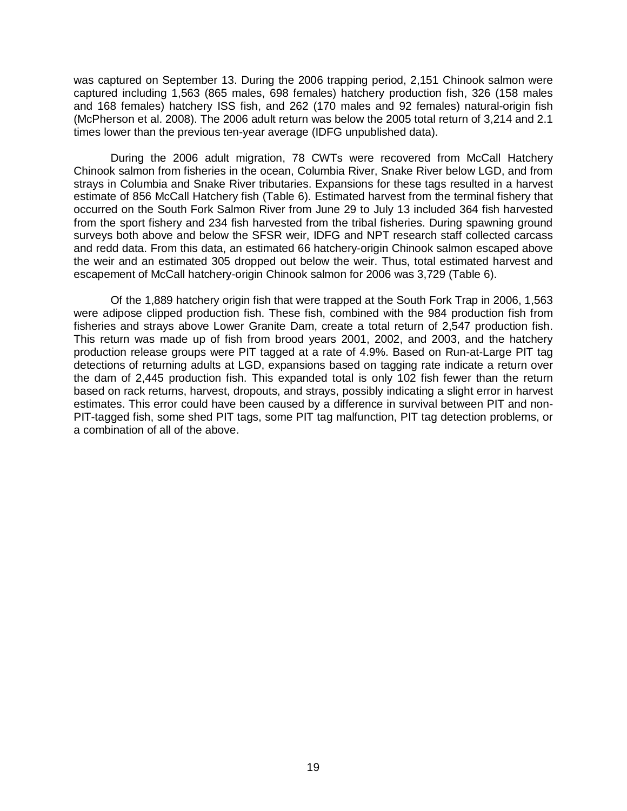was captured on September 13. During the 2006 trapping period, 2,151 Chinook salmon were captured including 1,563 (865 males, 698 females) hatchery production fish, 326 (158 males and 168 females) hatchery ISS fish, and 262 (170 males and 92 females) natural-origin fish (McPherson et al. 2008). The 2006 adult return was below the 2005 total return of 3,214 and 2.1 times lower than the previous ten-year average (IDFG unpublished data).

During the 2006 adult migration, 78 CWTs were recovered from McCall Hatchery Chinook salmon from fisheries in the ocean, Columbia River, Snake River below LGD, and from strays in Columbia and Snake River tributaries. Expansions for these tags resulted in a harvest estimate of 856 McCall Hatchery fish (Table 6). Estimated harvest from the terminal fishery that occurred on the South Fork Salmon River from June 29 to July 13 included 364 fish harvested from the sport fishery and 234 fish harvested from the tribal fisheries. During spawning ground surveys both above and below the SFSR weir, IDFG and NPT research staff collected carcass and redd data. From this data, an estimated 66 hatchery-origin Chinook salmon escaped above the weir and an estimated 305 dropped out below the weir. Thus, total estimated harvest and escapement of McCall hatchery-origin Chinook salmon for 2006 was 3,729 (Table 6).

Of the 1,889 hatchery origin fish that were trapped at the South Fork Trap in 2006, 1,563 were adipose clipped production fish. These fish, combined with the 984 production fish from fisheries and strays above Lower Granite Dam, create a total return of 2,547 production fish. This return was made up of fish from brood years 2001, 2002, and 2003, and the hatchery production release groups were PIT tagged at a rate of 4.9%. Based on Run-at-Large PIT tag detections of returning adults at LGD, expansions based on tagging rate indicate a return over the dam of 2,445 production fish. This expanded total is only 102 fish fewer than the return based on rack returns, harvest, dropouts, and strays, possibly indicating a slight error in harvest estimates. This error could have been caused by a difference in survival between PIT and non-PIT-tagged fish, some shed PIT tags, some PIT tag malfunction, PIT tag detection problems, or a combination of all of the above.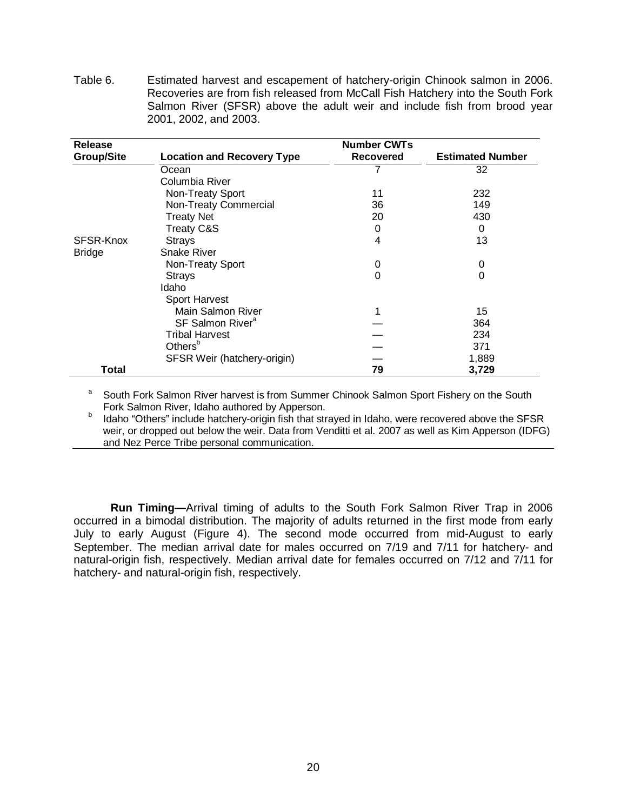<span id="page-26-1"></span>Table 6. Estimated harvest and escapement of hatchery-origin Chinook salmon in 2006. Recoveries are from fish released from McCall Fish Hatchery into the South Fork Salmon River (SFSR) above the adult weir and include fish from brood year 2001, 2002, and 2003.

| <b>Release</b>    |                                   | <b>Number CWTs</b> |                         |
|-------------------|-----------------------------------|--------------------|-------------------------|
| <b>Group/Site</b> | <b>Location and Recovery Type</b> | Recovered          | <b>Estimated Number</b> |
|                   | Ocean                             |                    | 32                      |
|                   | Columbia River                    |                    |                         |
|                   | Non-Treaty Sport                  | 11                 | 232                     |
|                   | Non-Treaty Commercial             | 36                 | 149                     |
|                   | <b>Treaty Net</b>                 | 20                 | 430                     |
|                   | <b>Treaty C&amp;S</b>             | 0                  | 0                       |
| SFSR-Knox         | <b>Strays</b>                     | 4                  | 13                      |
| <b>Bridge</b>     | Snake River                       |                    |                         |
|                   | Non-Treaty Sport                  | 0                  | 0                       |
|                   | <b>Strays</b>                     | 0                  | 0                       |
|                   | Idaho                             |                    |                         |
|                   | <b>Sport Harvest</b>              |                    |                         |
|                   | Main Salmon River                 |                    | 15                      |
|                   | SF Salmon River <sup>a</sup>      |                    | 364                     |
|                   | <b>Tribal Harvest</b>             |                    | 234                     |
|                   | Others <sup>b</sup>               |                    | 371                     |
|                   | SFSR Weir (hatchery-origin)       |                    | 1,889                   |
| <b>Total</b>      |                                   | 79                 | 3,729                   |

South Fork Salmon River harvest is from Summer Chinook Salmon Sport Fishery on the South Fork Salmon River, Idaho authored by Apperson.

b and Salmon River, Idaho authored by Appension. By Appension. But also were recovered above the SFSR weir, or dropped out below the weir. Data from Venditti et al. 2007 as well as Kim Apperson (IDFG) and Nez Perce Tribe personal communication.

<span id="page-26-0"></span>**Run Timing—**Arrival timing of adults to the South Fork Salmon River Trap in 2006 occurred in a bimodal distribution. The majority of adults returned in the first mode from early July to early August (Figure 4). The second mode occurred from mid-August to early September. The median arrival date for males occurred on 7/19 and 7/11 for hatchery- and natural-origin fish, respectively. Median arrival date for females occurred on 7/12 and 7/11 for hatchery- and natural-origin fish, respectively.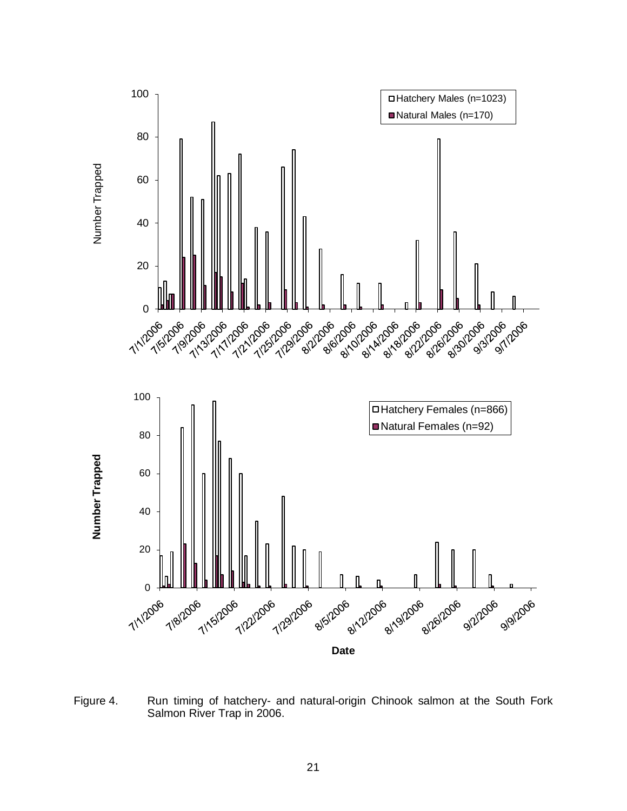

<span id="page-27-0"></span>Figure 4. Run timing of hatchery- and natural-origin Chinook salmon at the South Fork Salmon River Trap in 2006.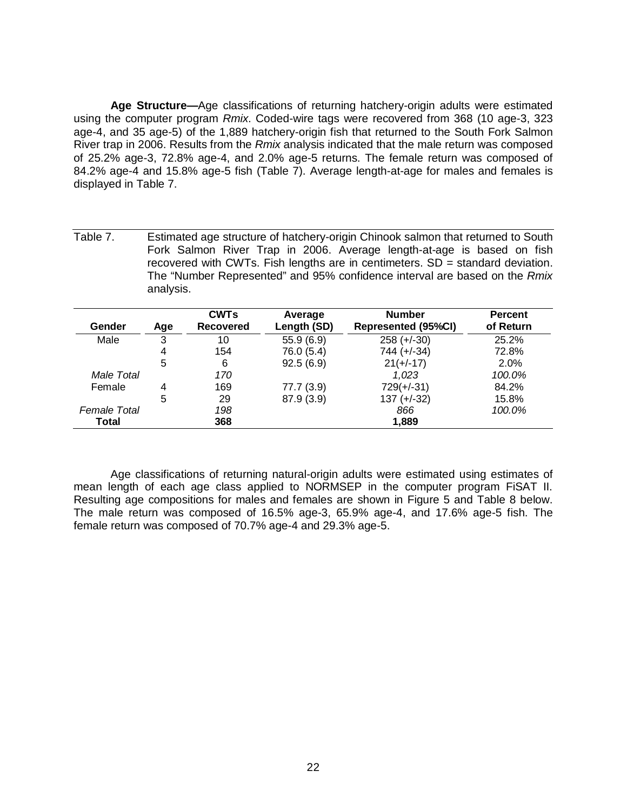<span id="page-28-0"></span>**Age Structure—**Age classifications of returning hatchery-origin adults were estimated using the computer program *Rmix*. Coded-wire tags were recovered from 368 (10 age-3, 323 age-4, and 35 age-5) of the 1,889 hatchery-origin fish that returned to the South Fork Salmon River trap in 2006. Results from the *Rmix* analysis indicated that the male return was composed of 25.2% age-3, 72.8% age-4, and 2.0% age-5 returns. The female return was composed of 84.2% age-4 and 15.8% age-5 fish (Table 7). Average length-at-age for males and females is displayed in Table 7.

<span id="page-28-1"></span>Table 7. Estimated age structure of hatchery-origin Chinook salmon that returned to South Fork Salmon River Trap in 2006. Average length-at-age is based on fish recovered with CWTs. Fish lengths are in centimeters.  $SD =$  standard deviation. The "Number Represented" and 95% confidence interval are based on the *Rmix*  analysis.

| Gender       | Age | <b>CWTs</b><br><b>Recovered</b> | Average<br>Length (SD) | <b>Number</b><br><b>Represented (95%CI)</b> | <b>Percent</b><br>of Return |
|--------------|-----|---------------------------------|------------------------|---------------------------------------------|-----------------------------|
| Male         | 3   | 10                              | 55.9(6.9)              | $258 (+-30)$                                | 25.2%                       |
|              | 4   | 154                             | 76.0 (5.4)             | $744 (+-34)$                                | 72.8%                       |
|              | 5   | 6                               | 92.5(6.9)              | $21(+/-17)$                                 | 2.0%                        |
| Male Total   |     | 170                             |                        | 1.023                                       | 100.0%                      |
| Female       |     | 169                             | 77.7 (3.9)             | $729(+/-31)$                                | 84.2%                       |
|              | 5   | 29                              | 87.9 (3.9)             | $137 (+-32)$                                | 15.8%                       |
| Female Total |     | 198                             |                        | 866                                         | 100.0%                      |
| Total        |     | 368                             |                        | 1,889                                       |                             |

Age classifications of returning natural-origin adults were estimated using estimates of mean length of each age class applied to NORMSEP in the computer program FiSAT II. Resulting age compositions for males and females are shown in Figure 5 and Table 8 below. The male return was composed of 16.5% age-3, 65.9% age-4, and 17.6% age-5 fish. The female return was composed of 70.7% age-4 and 29.3% age-5.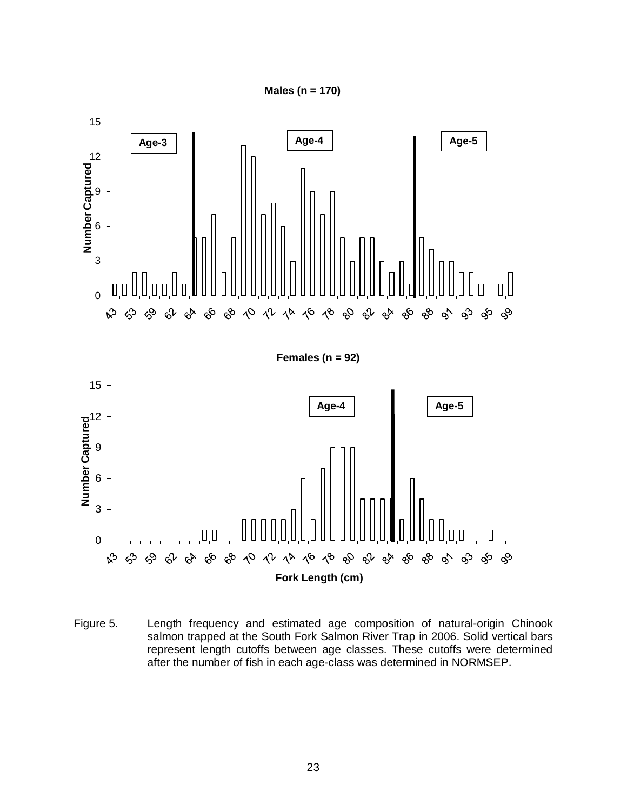



<span id="page-29-0"></span>Figure 5. Length frequency and estimated age composition of natural-origin Chinook salmon trapped at the South Fork Salmon River Trap in 2006. Solid vertical bars represent length cutoffs between age classes. These cutoffs were determined after the number of fish in each age-class was determined in NORMSEP.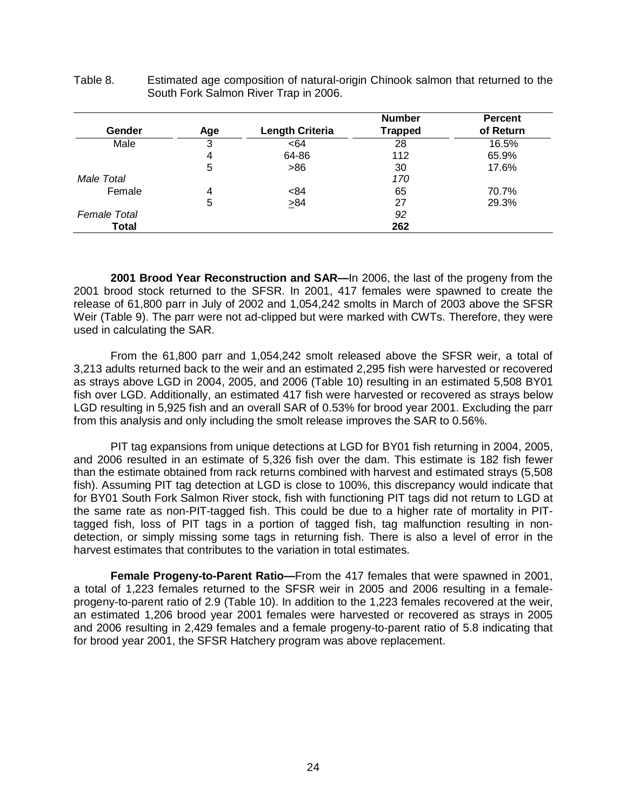| Gender       | Age | <b>Length Criteria</b> | <b>Number</b><br><b>Trapped</b> | <b>Percent</b><br>of Return |
|--------------|-----|------------------------|---------------------------------|-----------------------------|
| Male         | 3   | <64                    | 28                              | 16.5%                       |
|              | 4   | 64-86                  | 112                             | 65.9%                       |
|              | 5   | >86                    | 30                              | 17.6%                       |
| Male Total   |     |                        | 170                             |                             |
| Female       | 4   | < 84                   | 65                              | 70.7%                       |
|              | 5   | $\geq 84$              | 27                              | 29.3%                       |
| Female Total |     |                        | 92                              |                             |
| <b>Total</b> |     |                        | 262                             |                             |

<span id="page-30-2"></span>Table 8. Estimated age composition of natural-origin Chinook salmon that returned to the South Fork Salmon River Trap in 2006.

<span id="page-30-0"></span>**2001 Brood Year Reconstruction and SAR—**In 2006, the last of the progeny from the 2001 brood stock returned to the SFSR. In 2001, 417 females were spawned to create the release of 61,800 parr in July of 2002 and 1,054,242 smolts in March of 2003 above the SFSR Weir (Table 9). The parr were not ad-clipped but were marked with CWTs. Therefore, they were used in calculating the SAR.

From the 61,800 parr and 1,054,242 smolt released above the SFSR weir, a total of 3,213 adults returned back to the weir and an estimated 2,295 fish were harvested or recovered as strays above LGD in 2004, 2005, and 2006 (Table 10) resulting in an estimated 5,508 BY01 fish over LGD. Additionally, an estimated 417 fish were harvested or recovered as strays below LGD resulting in 5,925 fish and an overall SAR of 0.53% for brood year 2001. Excluding the parr from this analysis and only including the smolt release improves the SAR to 0.56%.

PIT tag expansions from unique detections at LGD for BY01 fish returning in 2004, 2005, and 2006 resulted in an estimate of 5,326 fish over the dam. This estimate is 182 fish fewer than the estimate obtained from rack returns combined with harvest and estimated strays (5,508 fish). Assuming PIT tag detection at LGD is close to 100%, this discrepancy would indicate that for BY01 South Fork Salmon River stock, fish with functioning PIT tags did not return to LGD at the same rate as non-PIT-tagged fish. This could be due to a higher rate of mortality in PITtagged fish, loss of PIT tags in a portion of tagged fish, tag malfunction resulting in nondetection, or simply missing some tags in returning fish. There is also a level of error in the harvest estimates that contributes to the variation in total estimates.

<span id="page-30-1"></span>**Female Progeny-to-Parent Ratio—**From the 417 females that were spawned in 2001, a total of 1,223 females returned to the SFSR weir in 2005 and 2006 resulting in a femaleprogeny-to-parent ratio of 2.9 (Table 10). In addition to the 1,223 females recovered at the weir, an estimated 1,206 brood year 2001 females were harvested or recovered as strays in 2005 and 2006 resulting in 2,429 females and a female progeny-to-parent ratio of 5.8 indicating that for brood year 2001, the SFSR Hatchery program was above replacement.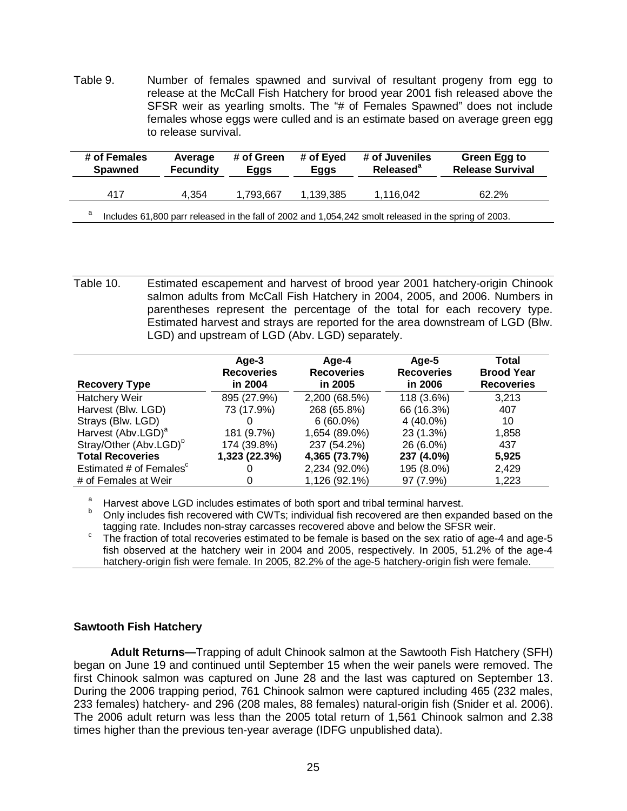<span id="page-31-2"></span>Table 9. Number of females spawned and survival of resultant progeny from egg to release at the McCall Fish Hatchery for brood year 2001 fish released above the SFSR weir as yearling smolts. The "# of Females Spawned" does not include females whose eggs were culled and is an estimate based on average green egg to release survival.

| # of Females<br><b>Spawned</b>                                                                             | Average<br><b>Fecundity</b> | # of Green<br>Eggs | # of Eyed<br>Eggs | # of Juveniles<br>Released <sup>a</sup> | Green Egg to<br><b>Release Survival</b> |  |
|------------------------------------------------------------------------------------------------------------|-----------------------------|--------------------|-------------------|-----------------------------------------|-----------------------------------------|--|
| 417                                                                                                        | 4.354                       | 1.793.667          | 1.139.385         | 1.116.042                               | 62.2%                                   |  |
| a<br>Includes 61,800 parr released in the fall of 2002 and 1,054,242 smolt released in the spring of 2003. |                             |                    |                   |                                         |                                         |  |

<span id="page-31-3"></span>Table 10. Estimated escapement and harvest of brood year 2001 hatchery-origin Chinook salmon adults from McCall Fish Hatchery in 2004, 2005, and 2006. Numbers in parentheses represent the percentage of the total for each recovery type. Estimated harvest and strays are reported for the area downstream of LGD (Blw. LGD) and upstream of LGD (Abv. LGD) separately.

|                                     | Age-3             | Age-4             | Age-5             | Total             |
|-------------------------------------|-------------------|-------------------|-------------------|-------------------|
|                                     | <b>Recoveries</b> | <b>Recoveries</b> | <b>Recoveries</b> | <b>Brood Year</b> |
| <b>Recovery Type</b>                | in 2004           | in 2005           | in 2006           | <b>Recoveries</b> |
| Hatchery Weir                       | 895 (27.9%)       | 2,200 (68.5%)     | 118 (3.6%)        | 3,213             |
| Harvest (Blw. LGD)                  | 73 (17.9%)        | 268 (65.8%)       | 66 (16.3%)        | 407               |
| Strays (Blw. LGD)                   |                   | $6(60.0\%)$       | $4(40.0\%)$       | 10                |
| Harvest (Abv.LGD) <sup>a</sup>      | 181 (9.7%)        | 1,654 (89.0%)     | 23 (1.3%)         | 1,858             |
| Stray/Other (Abv.LGD) <sup>b</sup>  | 174 (39.8%)       | 237 (54.2%)       | 26 (6.0%)         | 437               |
| <b>Total Recoveries</b>             | 1,323 (22.3%)     | 4,365 (73.7%)     | 237 (4.0%)        | 5,925             |
| Estimated # of Females <sup>c</sup> |                   | 2,234 (92.0%)     | 195 (8.0%)        | 2,429             |
| # of Females at Weir                |                   | 1,126 (92.1%)     | 97 (7.9%)         | 1,223             |

Harvest above LGD includes estimates of both sport and tribal terminal harvest.

Only includes fish recovered with CWTs; individual fish recovered are then expanded based on the tagging rate. Includes non-stray carcasses recovered above and below the SFSR weir.

tagging rate. Includes non-stray carciastic recovered above and below the SFSR weight. The fraction of total recoveries estimated to be female is based on the sex ratio of age-4 and age-5 fish observed at the hatchery weir in 2004 and 2005, respectively. In 2005, 51.2% of the age-4 hatchery-origin fish were female. In 2005, 82.2% of the age-5 hatchery-origin fish were female.

# <span id="page-31-0"></span>**Sawtooth Fish Hatchery**

<span id="page-31-1"></span>**Adult Returns—**Trapping of adult Chinook salmon at the Sawtooth Fish Hatchery (SFH) began on June 19 and continued until September 15 when the weir panels were removed. The first Chinook salmon was captured on June 28 and the last was captured on September 13. During the 2006 trapping period, 761 Chinook salmon were captured including 465 (232 males, 233 females) hatchery- and 296 (208 males, 88 females) natural-origin fish (Snider et al. 2006). The 2006 adult return was less than the 2005 total return of 1,561 Chinook salmon and 2.38 times higher than the previous ten-year average (IDFG unpublished data).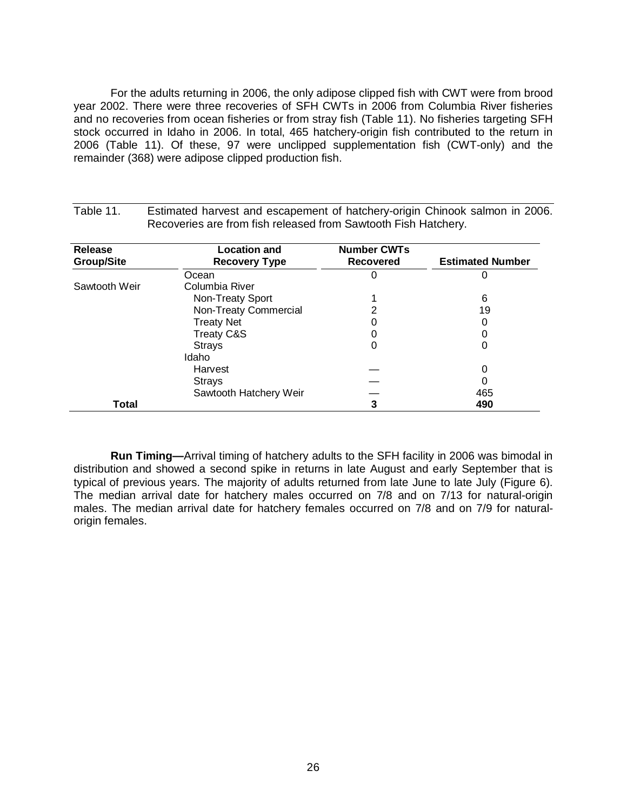For the adults returning in 2006, the only adipose clipped fish with CWT were from brood year 2002. There were three recoveries of SFH CWTs in 2006 from Columbia River fisheries and no recoveries from ocean fisheries or from stray fish (Table 11). No fisheries targeting SFH stock occurred in Idaho in 2006. In total, 465 hatchery-origin fish contributed to the return in 2006 (Table 11). Of these, 97 were unclipped supplementation fish (CWT-only) and the remainder (368) were adipose clipped production fish.

| <b>Release</b>    | <b>Location and</b>    | <b>Number CWTs</b> |                         |
|-------------------|------------------------|--------------------|-------------------------|
| <b>Group/Site</b> | <b>Recovery Type</b>   | <b>Recovered</b>   | <b>Estimated Number</b> |
|                   | Ocean                  | U                  | 0                       |
| Sawtooth Weir     | Columbia River         |                    |                         |
|                   | Non-Treaty Sport       |                    | 6                       |
|                   | Non-Treaty Commercial  | 2                  | 19                      |
|                   | <b>Treaty Net</b>      |                    | 0                       |
|                   | <b>Treaty C&amp;S</b>  |                    |                         |
|                   | <b>Strays</b>          | 0                  | 0                       |
|                   | Idaho                  |                    |                         |
|                   | Harvest                |                    | 0                       |
|                   | <b>Strays</b>          |                    | 0                       |
|                   | Sawtooth Hatchery Weir |                    | 465                     |
| Total             |                        | 3                  | 490                     |

<span id="page-32-1"></span>Table 11. Estimated harvest and escapement of hatchery-origin Chinook salmon in 2006. Recoveries are from fish released from Sawtooth Fish Hatchery.

<span id="page-32-0"></span>**Run Timing—**Arrival timing of hatchery adults to the SFH facility in 2006 was bimodal in distribution and showed a second spike in returns in late August and early September that is typical of previous years. The majority of adults returned from late June to late July (Figure 6). The median arrival date for hatchery males occurred on 7/8 and on 7/13 for natural-origin males. The median arrival date for hatchery females occurred on 7/8 and on 7/9 for naturalorigin females.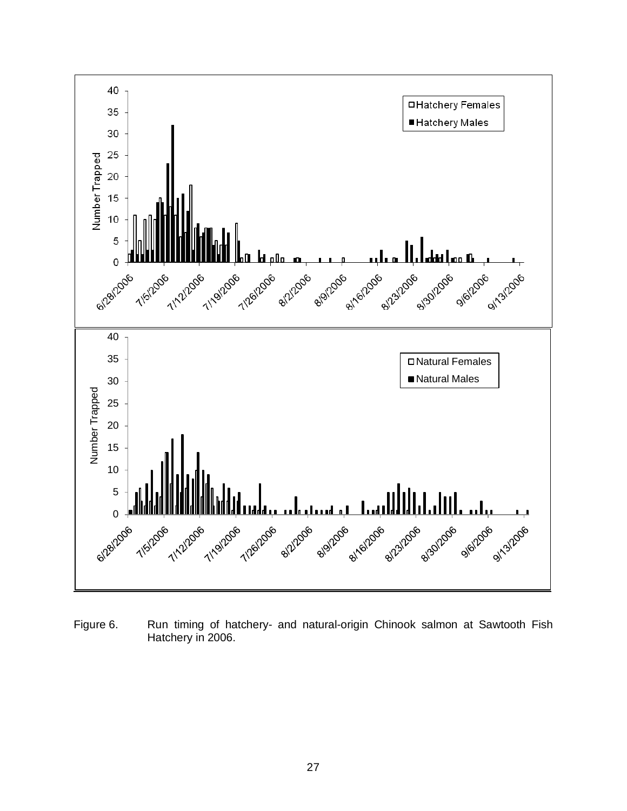

<span id="page-33-0"></span>Figure 6. Run timing of hatchery- and natural-origin Chinook salmon at Sawtooth Fish Hatchery in 2006.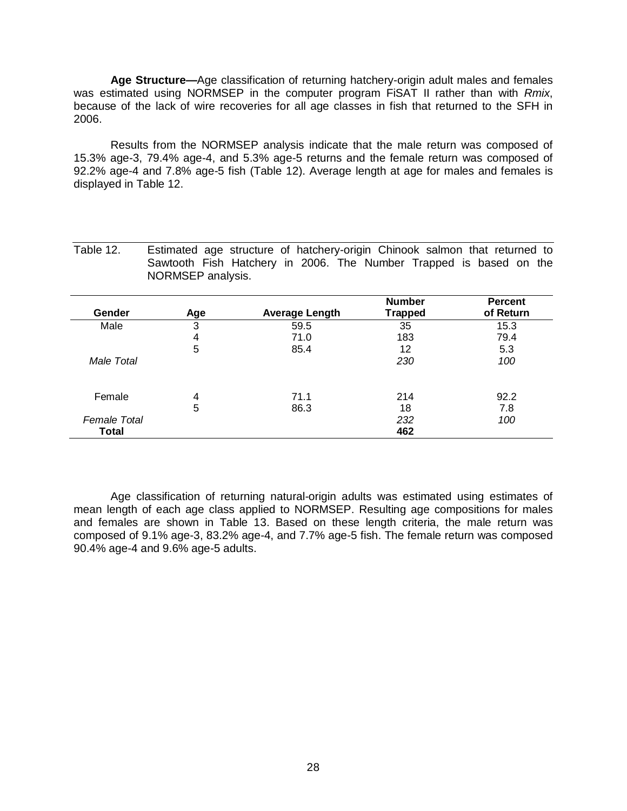<span id="page-34-0"></span>**Age Structure—**Age classification of returning hatchery-origin adult males and females was estimated using NORMSEP in the computer program FiSAT II rather than with *Rmix*, because of the lack of wire recoveries for all age classes in fish that returned to the SFH in 2006.

Results from the NORMSEP analysis indicate that the male return was composed of 15.3% age-3, 79.4% age-4, and 5.3% age-5 returns and the female return was composed of 92.2% age-4 and 7.8% age-5 fish (Table 12). Average length at age for males and females is displayed in Table 12.

<span id="page-34-1"></span>Table 12. Estimated age structure of hatchery-origin Chinook salmon that returned to Sawtooth Fish Hatchery in 2006. The Number Trapped is based on the NORMSEP analysis.

|              |     |                       | <b>Number</b>  | <b>Percent</b> |
|--------------|-----|-----------------------|----------------|----------------|
| Gender       | Age | <b>Average Length</b> | <b>Trapped</b> | of Return      |
| Male         | 3   | 59.5                  | 35             | 15.3           |
|              | 4   | 71.0                  | 183            | 79.4           |
|              | 5   | 85.4                  | 12             | 5.3            |
| Male Total   |     |                       | 230            | 100            |
|              |     |                       |                |                |
| Female       | 4   | 71.1                  | 214            | 92.2           |
|              | 5   | 86.3                  | 18             | 7.8            |
| Female Total |     |                       | 232            | 100            |
| Total        |     |                       | 462            |                |

Age classification of returning natural-origin adults was estimated using estimates of mean length of each age class applied to NORMSEP. Resulting age compositions for males and females are shown in Table 13. Based on these length criteria, the male return was composed of 9.1% age-3, 83.2% age-4, and 7.7% age-5 fish. The female return was composed 90.4% age-4 and 9.6% age-5 adults.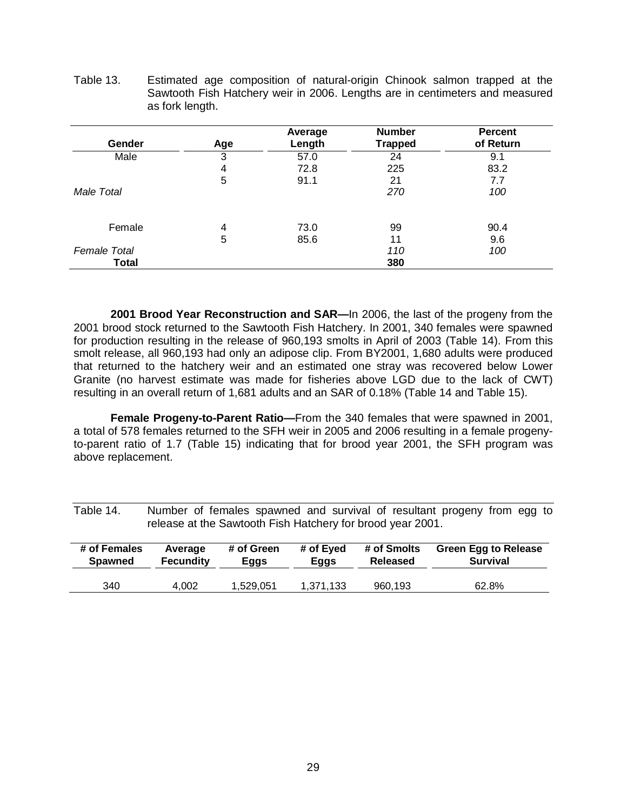|                     |     | Average | <b>Number</b>  | <b>Percent</b> |
|---------------------|-----|---------|----------------|----------------|
| Gender              | Age | Length  | <b>Trapped</b> | of Return      |
| Male                | 3   | 57.0    | 24             | 9.1            |
|                     | 4   | 72.8    | 225            | 83.2           |
|                     | 5   | 91.1    | 21             | 7.7            |
| Male Total          |     |         | 270            | 100            |
| Female              | 4   | 73.0    | 99             | 90.4           |
|                     | 5   | 85.6    | 11             | 9.6            |
| <b>Female Total</b> |     |         | 110            | 100            |
| <b>Total</b>        |     |         | 380            |                |

<span id="page-35-2"></span>Table 13. Estimated age composition of natural-origin Chinook salmon trapped at the Sawtooth Fish Hatchery weir in 2006. Lengths are in centimeters and measured as fork length.

<span id="page-35-0"></span>**2001 Brood Year Reconstruction and SAR—**In 2006, the last of the progeny from the 2001 brood stock returned to the Sawtooth Fish Hatchery. In 2001, 340 females were spawned for production resulting in the release of 960,193 smolts in April of 2003 (Table 14). From this smolt release, all 960,193 had only an adipose clip. From BY2001, 1,680 adults were produced that returned to the hatchery weir and an estimated one stray was recovered below Lower Granite (no harvest estimate was made for fisheries above LGD due to the lack of CWT) resulting in an overall return of 1,681 adults and an SAR of 0.18% (Table 14 and Table 15).

<span id="page-35-1"></span>**Female Progeny-to-Parent Ratio—**From the 340 females that were spawned in 2001, a total of 578 females returned to the SFH weir in 2005 and 2006 resulting in a female progenyto-parent ratio of 1.7 (Table 15) indicating that for brood year 2001, the SFH program was above replacement.

<span id="page-35-3"></span>

| Table 14. |  | Number of females spawned and survival of resultant progeny from egg to |  |  |  |  |
|-----------|--|-------------------------------------------------------------------------|--|--|--|--|
|           |  | release at the Sawtooth Fish Hatchery for brood year 2001.              |  |  |  |  |

| # of Females   | Average          | # of Green | # of Eyed | # of Smolts | <b>Green Egg to Release</b> |
|----------------|------------------|------------|-----------|-------------|-----------------------------|
| <b>Spawned</b> | <b>Fecundity</b> | Eggs       | Eggs      | Released    | <b>Survival</b>             |
| 340            | 4.002            | 1.529.051  | 1,371,133 | 960.193     | 62.8%                       |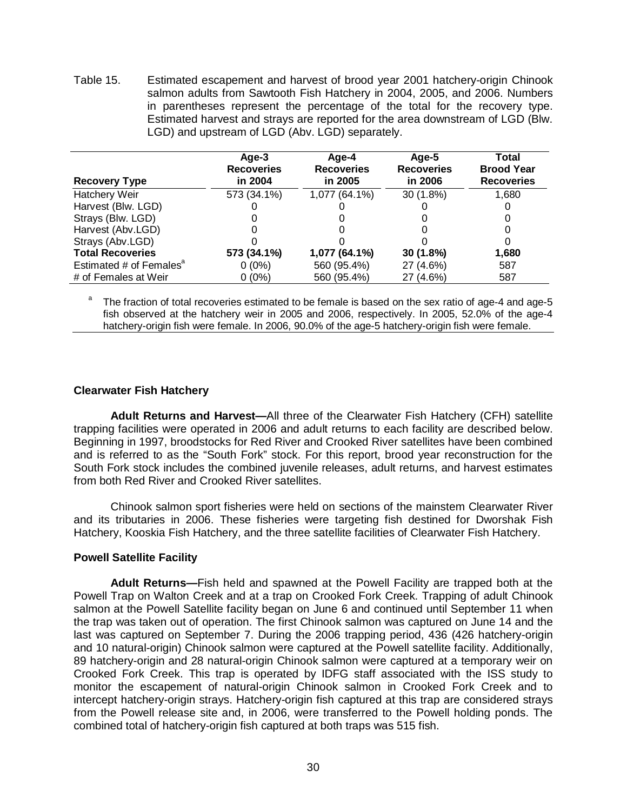<span id="page-36-4"></span>Table 15. Estimated escapement and harvest of brood year 2001 hatchery-origin Chinook salmon adults from Sawtooth Fish Hatchery in 2004, 2005, and 2006. Numbers in parentheses represent the percentage of the total for the recovery type. Estimated harvest and strays are reported for the area downstream of LGD (Blw. LGD) and upstream of LGD (Abv. LGD) separately.

| <b>Recovery Type</b>                | Age-3<br><b>Recoveries</b><br>in 2004 | Age-4<br><b>Recoveries</b><br>in 2005 | Age-5<br><b>Recoveries</b><br>in 2006 | Total<br><b>Brood Year</b><br><b>Recoveries</b> |
|-------------------------------------|---------------------------------------|---------------------------------------|---------------------------------------|-------------------------------------------------|
| Hatchery Weir                       | 573 (34.1%)                           | 1,077 (64.1%)                         | 30 (1.8%)                             | 1,680                                           |
| Harvest (Blw. LGD)                  |                                       |                                       |                                       |                                                 |
| Strays (Blw. LGD)                   |                                       |                                       |                                       |                                                 |
| Harvest (Abv.LGD)                   |                                       |                                       |                                       |                                                 |
| Strays (Abv.LGD)                    |                                       |                                       |                                       | 0                                               |
| <b>Total Recoveries</b>             | 573 (34.1%)                           | 1,077 (64.1%)                         | 30 (1.8%)                             | 1,680                                           |
| Estimated # of Females <sup>a</sup> | $0(0\%)$                              | 560 (95.4%)                           | 27 (4.6%)                             | 587                                             |
| # of Females at Weir                | $0(0\%)$                              | 560 (95.4%)                           | 27 (4.6%)                             | 587                                             |

The fraction of total recoveries estimated to be female is based on the sex ratio of age-4 and age-5 fish observed at the hatchery weir in 2005 and 2006, respectively. In 2005, 52.0% of the age-4 hatchery-origin fish were female. In 2006, 90.0% of the age-5 hatchery-origin fish were female.

# <span id="page-36-0"></span>**Clearwater Fish Hatchery**

<span id="page-36-1"></span>**Adult Returns and Harvest—**All three of the Clearwater Fish Hatchery (CFH) satellite trapping facilities were operated in 2006 and adult returns to each facility are described below. Beginning in 1997, broodstocks for Red River and Crooked River satellites have been combined and is referred to as the "South Fork" stock. For this report, brood year reconstruction for the South Fork stock includes the combined juvenile releases, adult returns, and harvest estimates from both Red River and Crooked River satellites.

Chinook salmon sport fisheries were held on sections of the mainstem Clearwater River and its tributaries in 2006. These fisheries were targeting fish destined for Dworshak Fish Hatchery, Kooskia Fish Hatchery, and the three satellite facilities of Clearwater Fish Hatchery.

# <span id="page-36-2"></span>**Powell Satellite Facility**

<span id="page-36-3"></span>**Adult Returns—**Fish held and spawned at the Powell Facility are trapped both at the Powell Trap on Walton Creek and at a trap on Crooked Fork Creek. Trapping of adult Chinook salmon at the Powell Satellite facility began on June 6 and continued until September 11 when the trap was taken out of operation. The first Chinook salmon was captured on June 14 and the last was captured on September 7. During the 2006 trapping period, 436 (426 hatchery-origin and 10 natural-origin) Chinook salmon were captured at the Powell satellite facility. Additionally, 89 hatchery-origin and 28 natural-origin Chinook salmon were captured at a temporary weir on Crooked Fork Creek. This trap is operated by IDFG staff associated with the ISS study to monitor the escapement of natural-origin Chinook salmon in Crooked Fork Creek and to intercept hatchery-origin strays. Hatchery-origin fish captured at this trap are considered strays from the Powell release site and, in 2006, were transferred to the Powell holding ponds. The combined total of hatchery-origin fish captured at both traps was 515 fish.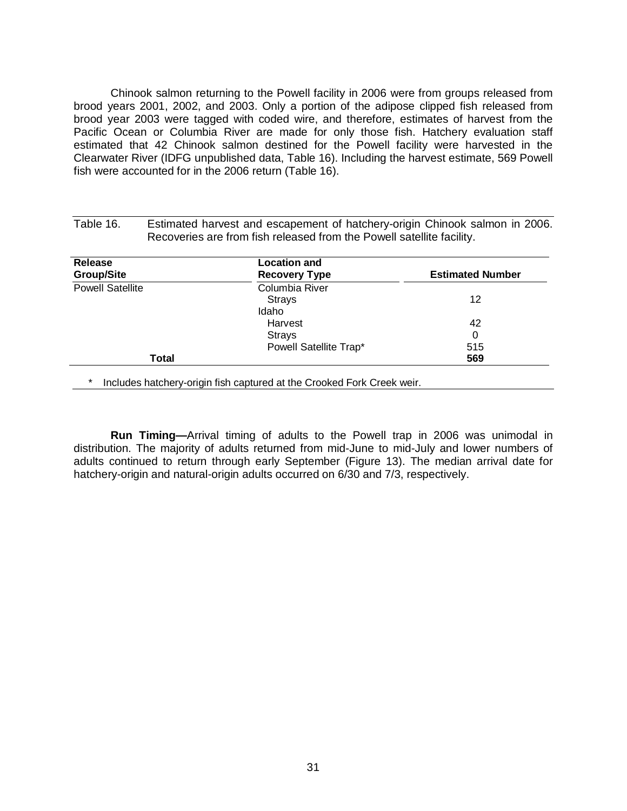Chinook salmon returning to the Powell facility in 2006 were from groups released from brood years 2001, 2002, and 2003. Only a portion of the adipose clipped fish released from brood year 2003 were tagged with coded wire, and therefore, estimates of harvest from the Pacific Ocean or Columbia River are made for only those fish. Hatchery evaluation staff estimated that 42 Chinook salmon destined for the Powell facility were harvested in the Clearwater River (IDFG unpublished data, Table 16). Including the harvest estimate, 569 Powell fish were accounted for in the 2006 return (Table 16).

| Release<br><b>Group/Site</b> | <b>Location and</b><br><b>Recovery Type</b> | <b>Estimated Number</b> |
|------------------------------|---------------------------------------------|-------------------------|
| <b>Powell Satellite</b>      | Columbia River                              |                         |
|                              | <b>Strays</b>                               | 12                      |
|                              | Idaho.                                      |                         |
|                              | Harvest                                     | 42                      |
|                              | <b>Strays</b>                               | 0                       |
|                              | Powell Satellite Trap*                      | 515                     |
| Total                        |                                             | 569                     |

<span id="page-37-1"></span>Table 16. Estimated harvest and escapement of hatchery-origin Chinook salmon in 2006.

<span id="page-37-0"></span>**Run Timing—**Arrival timing of adults to the Powell trap in 2006 was unimodal in distribution. The majority of adults returned from mid-June to mid-July and lower numbers of adults continued to return through early September (Figure 13). The median arrival date for hatchery-origin and natural-origin adults occurred on 6/30 and 7/3, respectively.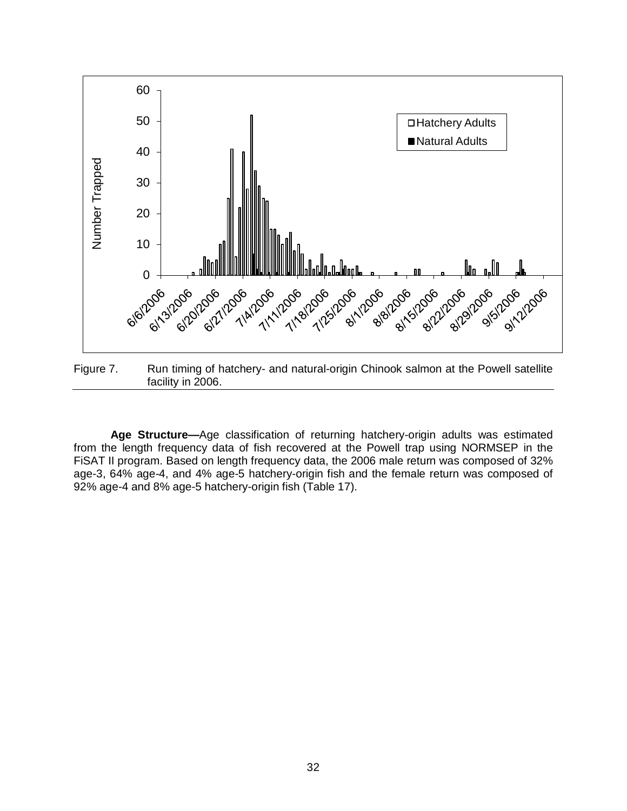

<span id="page-38-1"></span>Figure 7. Run timing of hatchery- and natural-origin Chinook salmon at the Powell satellite facility in 2006.

<span id="page-38-0"></span>**Age Structure—**Age classification of returning hatchery-origin adults was estimated from the length frequency data of fish recovered at the Powell trap using NORMSEP in the FiSAT II program. Based on length frequency data, the 2006 male return was composed of 32% age-3, 64% age-4, and 4% age-5 hatchery-origin fish and the female return was composed of 92% age-4 and 8% age-5 hatchery-origin fish (Table 17).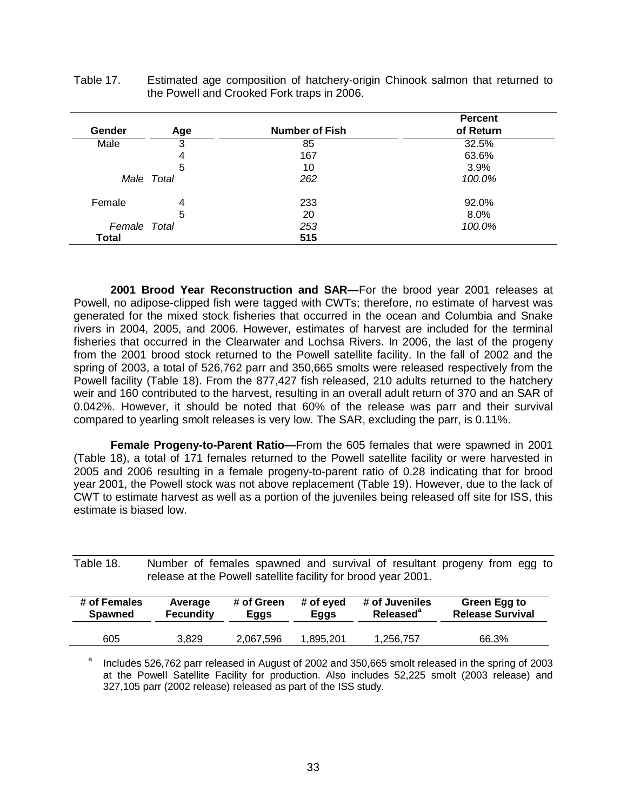|              |            |                       | <b>Percent</b> |
|--------------|------------|-----------------------|----------------|
| Gender       | Age        | <b>Number of Fish</b> | of Return      |
| Male         | 3          | 85                    | 32.5%          |
|              | 4          | 167                   | 63.6%          |
|              | 5          | 10                    | 3.9%           |
|              | Male Total | 262                   | 100.0%         |
| Female       | 4          | 233                   | 92.0%          |
|              | 5          | 20                    | 8.0%           |
| Female Total |            | 253                   | 100.0%         |
| <b>Total</b> |            | 515                   |                |

<span id="page-39-2"></span>Table 17. Estimated age composition of hatchery-origin Chinook salmon that returned to the Powell and Crooked Fork traps in 2006.

<span id="page-39-0"></span>**2001 Brood Year Reconstruction and SAR—**For the brood year 2001 releases at Powell, no adipose-clipped fish were tagged with CWTs; therefore, no estimate of harvest was generated for the mixed stock fisheries that occurred in the ocean and Columbia and Snake rivers in 2004, 2005, and 2006. However, estimates of harvest are included for the terminal fisheries that occurred in the Clearwater and Lochsa Rivers. In 2006, the last of the progeny from the 2001 brood stock returned to the Powell satellite facility. In the fall of 2002 and the spring of 2003, a total of 526,762 parr and 350,665 smolts were released respectively from the Powell facility (Table 18). From the 877,427 fish released, 210 adults returned to the hatchery weir and 160 contributed to the harvest, resulting in an overall adult return of 370 and an SAR of 0.042%. However, it should be noted that 60% of the release was parr and their survival compared to yearling smolt releases is very low. The SAR, excluding the parr, is 0.11%.

<span id="page-39-1"></span>**Female Progeny-to-Parent Ratio—**From the 605 females that were spawned in 2001 (Table 18), a total of 171 females returned to the Powell satellite facility or were harvested in 2005 and 2006 resulting in a female progeny-to-parent ratio of 0.28 indicating that for brood year 2001, the Powell stock was not above replacement (Table 19). However, due to the lack of CWT to estimate harvest as well as a portion of the juveniles being released off site for ISS, this estimate is biased low.

<span id="page-39-3"></span>Table 18. Number of females spawned and survival of resultant progeny from egg to release at the Powell satellite facility for brood year 2001.

| # of Females   | Average          | # of Green | # of eyed | # of Juveniles        | Green Egg to            |
|----------------|------------------|------------|-----------|-----------------------|-------------------------|
| <b>Spawned</b> | <b>Fecundity</b> | Eggs       | Eggs      | Released <sup>®</sup> | <b>Release Survival</b> |
| 605            | 3.829            | 2,067,596  | .895.201  | 1,256,757             | 66.3%                   |

<sup>a</sup> Includes 526,762 parr released in August of 2002 and 350,665 smolt released in the spring of 2003 at the Powell Satellite Facility for production. Also includes 52,225 smolt (2003 release) and 327,105 parr (2002 release) released as part of the ISS study.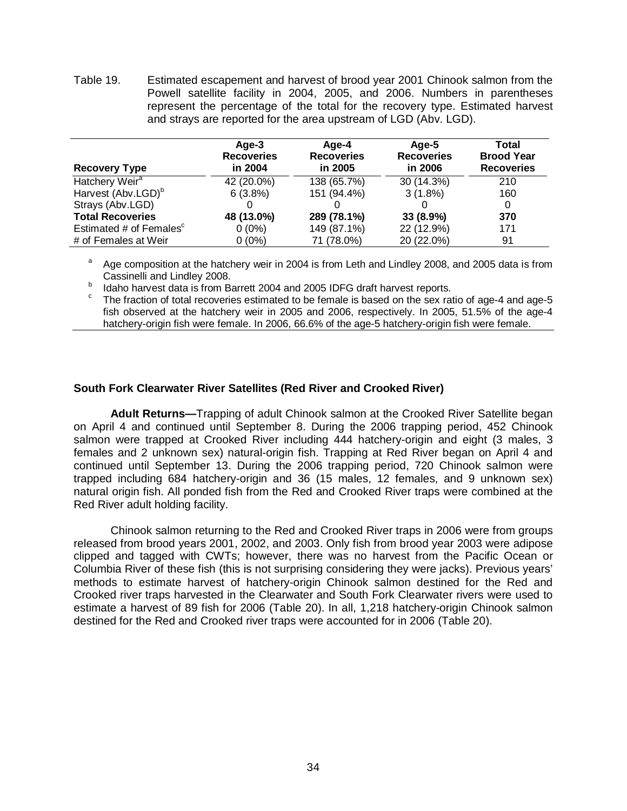<span id="page-40-2"></span>Table 19. Estimated escapement and harvest of brood year 2001 Chinook salmon from the Powell satellite facility in 2004, 2005, and 2006. Numbers in parentheses represent the percentage of the total for the recovery type. Estimated harvest and strays are reported for the area upstream of LGD (Abv. LGD).

| <b>Recovery Type</b>           | Age-3<br><b>Recoveries</b><br>in 2004 | Age-4<br><b>Recoveries</b><br>in 2005 | Age-5<br><b>Recoveries</b><br>in 2006 | Total<br><b>Brood Year</b><br><b>Recoveries</b> |
|--------------------------------|---------------------------------------|---------------------------------------|---------------------------------------|-------------------------------------------------|
| Hatchery Weir <sup>a</sup>     | 42 (20.0%)                            | 138 (65.7%)                           | 30 (14.3%)                            | 210                                             |
| Harvest (Abv.LGD) <sup>b</sup> | 6(3.8%)                               | 151 (94.4%)                           | $3(1.8\%)$                            | 160                                             |
| Strays (Abv.LGD)               |                                       |                                       |                                       | 0                                               |
| <b>Total Recoveries</b>        | 48 (13.0%)                            | 289 (78.1%)                           | 33 (8.9%)                             | 370                                             |
| Estimated # of Females         | $0(0\%)$                              | 149 (87.1%)                           | 22 (12.9%)                            | 171                                             |
| # of Females at Weir           | $0(0\%)$                              | 71 (78.0%)                            | 20 (22.0%)                            | 91                                              |

<sup>a</sup> Age composition at the hatchery weir in 2004 is from Leth and Lindley 2008, and 2005 data is from Cassinelli and Lindley 2008.

Idaho harvest data is from Barrett 2004 and 2005 IDFG draft harvest reports.<br>The fraction of total recoveries estimated to be female is based on the sex ratio of age-4 and age-5 fish observed at the hatchery weir in 2005 and 2006, respectively. In 2005, 51.5% of the age-4 hatchery-origin fish were female. In 2006, 66.6% of the age-5 hatchery-origin fish were female.

# <span id="page-40-0"></span>**South Fork Clearwater River Satellites (Red River and Crooked River)**

<span id="page-40-1"></span>**Adult Returns—**Trapping of adult Chinook salmon at the Crooked River Satellite began on April 4 and continued until September 8. During the 2006 trapping period, 452 Chinook salmon were trapped at Crooked River including 444 hatchery-origin and eight (3 males, 3 females and 2 unknown sex) natural-origin fish. Trapping at Red River began on April 4 and continued until September 13. During the 2006 trapping period, 720 Chinook salmon were trapped including 684 hatchery-origin and 36 (15 males, 12 females, and 9 unknown sex) natural origin fish. All ponded fish from the Red and Crooked River traps were combined at the Red River adult holding facility.

Chinook salmon returning to the Red and Crooked River traps in 2006 were from groups released from brood years 2001, 2002, and 2003. Only fish from brood year 2003 were adipose clipped and tagged with CWTs; however, there was no harvest from the Pacific Ocean or Columbia River of these fish (this is not surprising considering they were jacks). Previous years' methods to estimate harvest of hatchery-origin Chinook salmon destined for the Red and Crooked river traps harvested in the Clearwater and South Fork Clearwater rivers were used to estimate a harvest of 89 fish for 2006 (Table 20). In all, 1,218 hatchery-origin Chinook salmon destined for the Red and Crooked river traps were accounted for in 2006 (Table 20).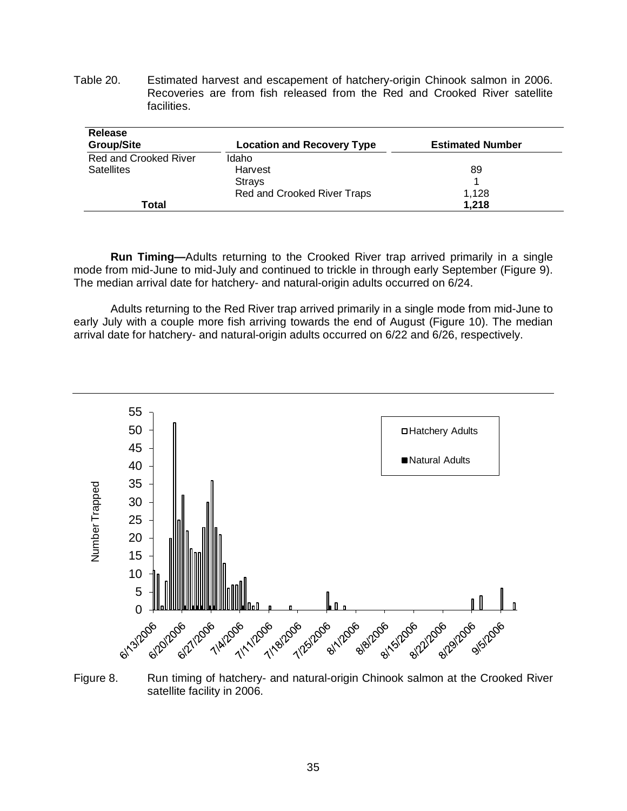<span id="page-41-1"></span>Table 20. Estimated harvest and escapement of hatchery-origin Chinook salmon in 2006. Recoveries are from fish released from the Red and Crooked River satellite facilities.

| <b>Release</b><br><b>Group/Site</b> | <b>Location and Recovery Type</b> | <b>Estimated Number</b> |
|-------------------------------------|-----------------------------------|-------------------------|
| <b>Red and Crooked River</b>        | Idaho                             |                         |
| <b>Satellites</b>                   | Harvest                           | 89                      |
|                                     | <b>Strays</b>                     |                         |
|                                     | Red and Crooked River Traps       | 1.128                   |
| Total                               |                                   | 1.218                   |

<span id="page-41-0"></span>**Run Timing—**Adults returning to the Crooked River trap arrived primarily in a single mode from mid-June to mid-July and continued to trickle in through early September (Figure 9). The median arrival date for hatchery- and natural-origin adults occurred on 6/24.

Adults returning to the Red River trap arrived primarily in a single mode from mid-June to early July with a couple more fish arriving towards the end of August (Figure 10). The median arrival date for hatchery- and natural-origin adults occurred on 6/22 and 6/26, respectively.



<span id="page-41-2"></span>Figure 8. Run timing of hatchery- and natural-origin Chinook salmon at the Crooked River satellite facility in 2006.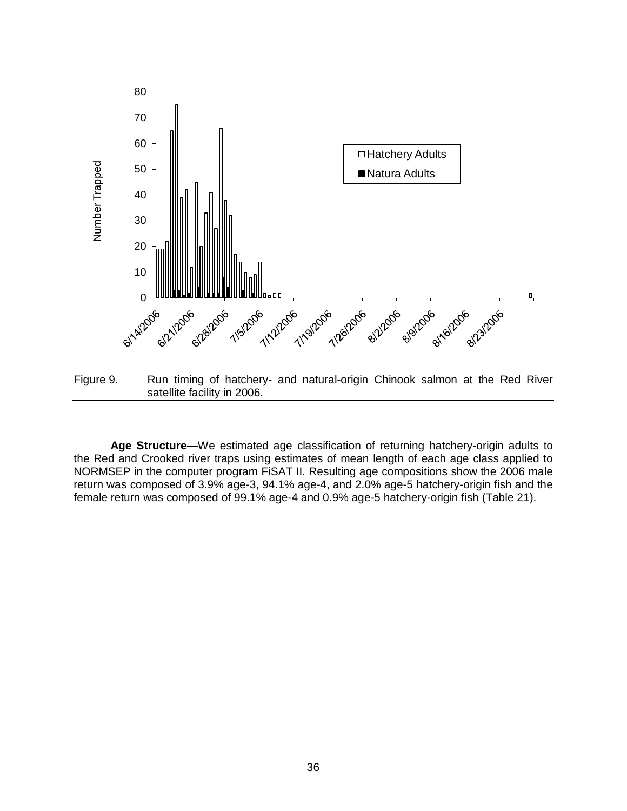

<span id="page-42-1"></span>Figure 9. Run timing of hatchery- and natural-origin Chinook salmon at the Red River satellite facility in 2006.

<span id="page-42-0"></span>**Age Structure—**We estimated age classification of returning hatchery-origin adults to the Red and Crooked river traps using estimates of mean length of each age class applied to NORMSEP in the computer program FiSAT II. Resulting age compositions show the 2006 male return was composed of 3.9% age-3, 94.1% age-4, and 2.0% age-5 hatchery-origin fish and the female return was composed of 99.1% age-4 and 0.9% age-5 hatchery-origin fish (Table 21).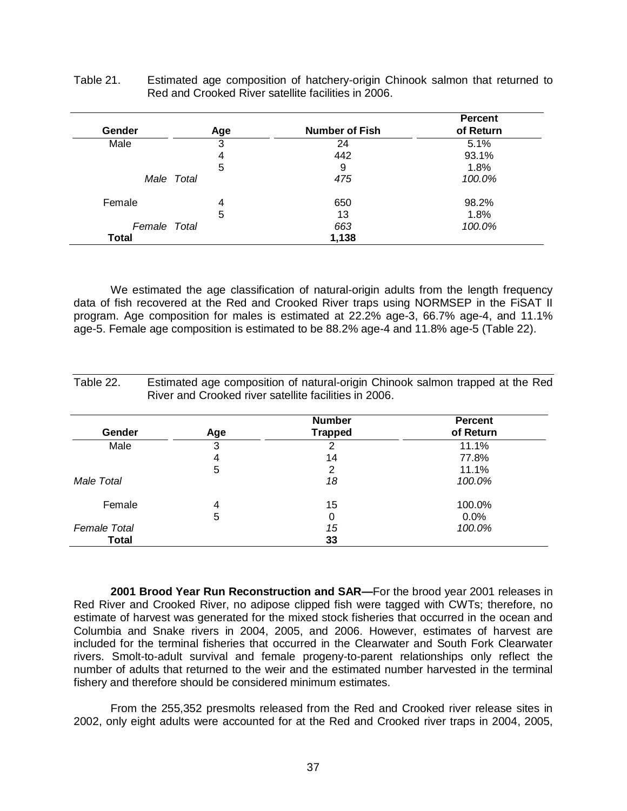| Gender       | Age        | <b>Number of Fish</b> | <b>Percent</b><br>of Return |
|--------------|------------|-----------------------|-----------------------------|
|              |            |                       |                             |
| Male         | 3          | 24                    | 5.1%                        |
|              | 4          | 442                   | 93.1%                       |
|              | 5          | 9                     | 1.8%                        |
|              | Male Total | 475                   | 100.0%                      |
| Female       | 4          | 650                   | 98.2%                       |
|              | 5          | 13                    | 1.8%                        |
| Female Total |            | 663                   | 100.0%                      |
| <b>Total</b> |            | 1,138                 |                             |

<span id="page-43-1"></span>Table 21. Estimated age composition of hatchery-origin Chinook salmon that returned to Red and Crooked River satellite facilities in 2006.

We estimated the age classification of natural-origin adults from the length frequency data of fish recovered at the Red and Crooked River traps using NORMSEP in the FiSAT II program. Age composition for males is estimated at 22.2% age-3, 66.7% age-4, and 11.1% age-5. Female age composition is estimated to be 88.2% age-4 and 11.8% age-5 (Table 22).

|                     |     | <b>Number</b> | <b>Percent</b> |
|---------------------|-----|---------------|----------------|
| Gender              | Age | Trapped       | of Return      |
| Male                | 3   | 2             | 11.1%          |
|                     | 4   | 14            | 77.8%          |
|                     | 5   |               | $11.1\%$       |
| Male Total          |     | 18            | 100.0%         |
| Female              | 4   | 15            | 100.0%         |
|                     | 5   | 0             | $0.0\%$        |
| <b>Female Total</b> |     | 15            | 100.0%         |
| Total               |     | 33            |                |

<span id="page-43-2"></span>Table 22. Estimated age composition of natural-origin Chinook salmon trapped at the Red

<span id="page-43-0"></span>**2001 Brood Year Run Reconstruction and SAR—**For the brood year 2001 releases in Red River and Crooked River, no adipose clipped fish were tagged with CWTs; therefore, no estimate of harvest was generated for the mixed stock fisheries that occurred in the ocean and Columbia and Snake rivers in 2004, 2005, and 2006. However, estimates of harvest are included for the terminal fisheries that occurred in the Clearwater and South Fork Clearwater rivers. Smolt-to-adult survival and female progeny-to-parent relationships only reflect the number of adults that returned to the weir and the estimated number harvested in the terminal fishery and therefore should be considered minimum estimates.

From the 255,352 presmolts released from the Red and Crooked river release sites in 2002, only eight adults were accounted for at the Red and Crooked river traps in 2004, 2005,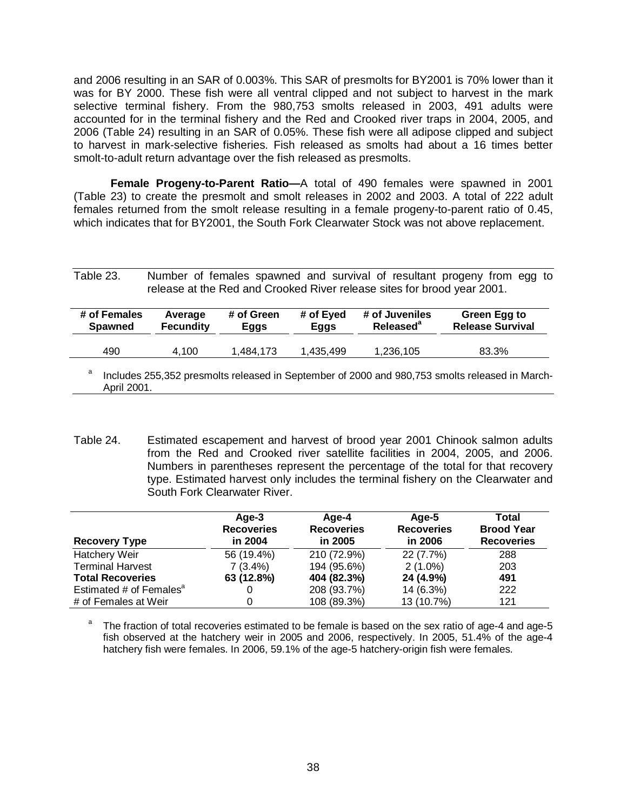and 2006 resulting in an SAR of 0.003%. This SAR of presmolts for BY2001 is 70% lower than it was for BY 2000. These fish were all ventral clipped and not subject to harvest in the mark selective terminal fishery. From the 980,753 smolts released in 2003, 491 adults were accounted for in the terminal fishery and the Red and Crooked river traps in 2004, 2005, and 2006 (Table 24) resulting in an SAR of 0.05%. These fish were all adipose clipped and subject to harvest in mark-selective fisheries. Fish released as smolts had about a 16 times better smolt-to-adult return advantage over the fish released as presmolts.

<span id="page-44-0"></span>**Female Progeny-to-Parent Ratio—**A total of 490 females were spawned in 2001 (Table 23) to create the presmolt and smolt releases in 2002 and 2003. A total of 222 adult females returned from the smolt release resulting in a female progeny-to-parent ratio of 0.45, which indicates that for BY2001, the South Fork Clearwater Stock was not above replacement.

<span id="page-44-1"></span>Table 23. Number of females spawned and survival of resultant progeny from egg to release at the Red and Crooked River release sites for brood year 2001.

| # of Females<br><b>Spawned</b> | Average<br><b>Fecundity</b> | # of Green<br>Eggs | # of Eyed<br>Eggs | # of Juveniles<br>Released <sup>a</sup> | Green Egg to<br><b>Release Survival</b>                                                        |
|--------------------------------|-----------------------------|--------------------|-------------------|-----------------------------------------|------------------------------------------------------------------------------------------------|
| 490                            | 4.100                       | 1.484.173          | 1.435.499         | 1,236,105                               | 83.3%                                                                                          |
| а                              |                             |                    |                   |                                         | Includes 255.352 presmolts released in September of 2000 and 980.753 smolts released in March- |

<sup>&</sup>lt;sup>a</sup> Includes 255,352 presmolts released in September of 2000 and 980,753 smolts released in March-April 2001.

<span id="page-44-2"></span>Table 24. Estimated escapement and harvest of brood year 2001 Chinook salmon adults from the Red and Crooked river satellite facilities in 2004, 2005, and 2006. Numbers in parentheses represent the percentage of the total for that recovery type. Estimated harvest only includes the terminal fishery on the Clearwater and South Fork Clearwater River.

| <b>Recovery Type</b>                | Age-3<br><b>Recoveries</b><br>in 2004 | Age-4<br><b>Recoveries</b><br>in 2005 | Age-5<br><b>Recoveries</b><br>in 2006 | Total<br><b>Brood Year</b><br><b>Recoveries</b> |
|-------------------------------------|---------------------------------------|---------------------------------------|---------------------------------------|-------------------------------------------------|
| Hatchery Weir                       | 56 (19.4%)                            | 210 (72.9%)                           | 22 (7.7%)                             | 288                                             |
| <b>Terminal Harvest</b>             | $7(3.4\%)$                            | 194 (95.6%)                           | $2(1.0\%)$                            | 203                                             |
| <b>Total Recoveries</b>             | 63 (12.8%)                            | 404 (82.3%)                           | 24 (4.9%)                             | 491                                             |
| Estimated # of Females <sup>®</sup> |                                       | 208 (93.7%)                           | 14 (6.3%)                             | 222                                             |
| # of Females at Weir                |                                       | 108 (89.3%)                           | 13 (10.7%)                            | 121                                             |

The fraction of total recoveries estimated to be female is based on the sex ratio of age-4 and age-5 fish observed at the hatchery weir in 2005 and 2006, respectively. In 2005, 51.4% of the age-4 hatchery fish were females. In 2006, 59.1% of the age-5 hatchery-origin fish were females.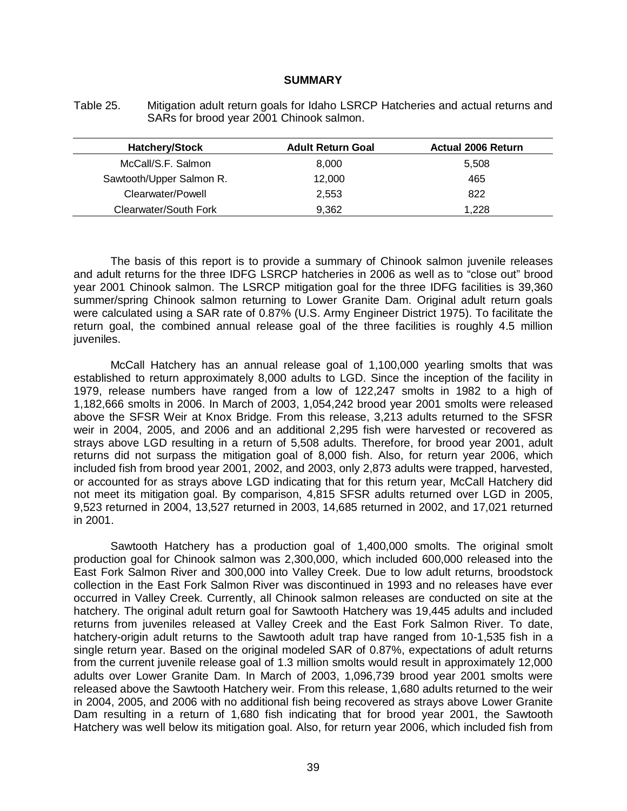#### **SUMMARY**

<span id="page-45-1"></span><span id="page-45-0"></span>Table 25. Mitigation adult return goals for Idaho LSRCP Hatcheries and actual returns and SARs for brood year 2001 Chinook salmon.

| <b>Hatchery/Stock</b>    | <b>Adult Return Goal</b> | <b>Actual 2006 Return</b> |
|--------------------------|--------------------------|---------------------------|
| McCall/S.F. Salmon       | 8,000                    | 5.508                     |
| Sawtooth/Upper Salmon R. | 12,000                   | 465                       |
| Clearwater/Powell        | 2,553                    | 822                       |
| Clearwater/South Fork    | 9,362                    | 1.228                     |

The basis of this report is to provide a summary of Chinook salmon juvenile releases and adult returns for the three IDFG LSRCP hatcheries in 2006 as well as to "close out" brood year 2001 Chinook salmon. The LSRCP mitigation goal for the three IDFG facilities is 39,360 summer/spring Chinook salmon returning to Lower Granite Dam. Original adult return goals were calculated using a SAR rate of 0.87% (U.S. Army Engineer District 1975). To facilitate the return goal, the combined annual release goal of the three facilities is roughly 4.5 million juveniles.

McCall Hatchery has an annual release goal of 1,100,000 yearling smolts that was established to return approximately 8,000 adults to LGD. Since the inception of the facility in 1979, release numbers have ranged from a low of 122,247 smolts in 1982 to a high of 1,182,666 smolts in 2006. In March of 2003, 1,054,242 brood year 2001 smolts were released above the SFSR Weir at Knox Bridge. From this release, 3,213 adults returned to the SFSR weir in 2004, 2005, and 2006 and an additional 2,295 fish were harvested or recovered as strays above LGD resulting in a return of 5,508 adults. Therefore, for brood year 2001, adult returns did not surpass the mitigation goal of 8,000 fish. Also, for return year 2006, which included fish from brood year 2001, 2002, and 2003, only 2,873 adults were trapped, harvested, or accounted for as strays above LGD indicating that for this return year, McCall Hatchery did not meet its mitigation goal. By comparison, 4,815 SFSR adults returned over LGD in 2005, 9,523 returned in 2004, 13,527 returned in 2003, 14,685 returned in 2002, and 17,021 returned in 2001.

Sawtooth Hatchery has a production goal of 1,400,000 smolts. The original smolt production goal for Chinook salmon was 2,300,000, which included 600,000 released into the East Fork Salmon River and 300,000 into Valley Creek. Due to low adult returns, broodstock collection in the East Fork Salmon River was discontinued in 1993 and no releases have ever occurred in Valley Creek. Currently, all Chinook salmon releases are conducted on site at the hatchery. The original adult return goal for Sawtooth Hatchery was 19,445 adults and included returns from juveniles released at Valley Creek and the East Fork Salmon River. To date, hatchery-origin adult returns to the Sawtooth adult trap have ranged from 10-1,535 fish in a single return year. Based on the original modeled SAR of 0.87%, expectations of adult returns from the current juvenile release goal of 1.3 million smolts would result in approximately 12,000 adults over Lower Granite Dam. In March of 2003, 1,096,739 brood year 2001 smolts were released above the Sawtooth Hatchery weir. From this release, 1,680 adults returned to the weir in 2004, 2005, and 2006 with no additional fish being recovered as strays above Lower Granite Dam resulting in a return of 1,680 fish indicating that for brood year 2001, the Sawtooth Hatchery was well below its mitigation goal. Also, for return year 2006, which included fish from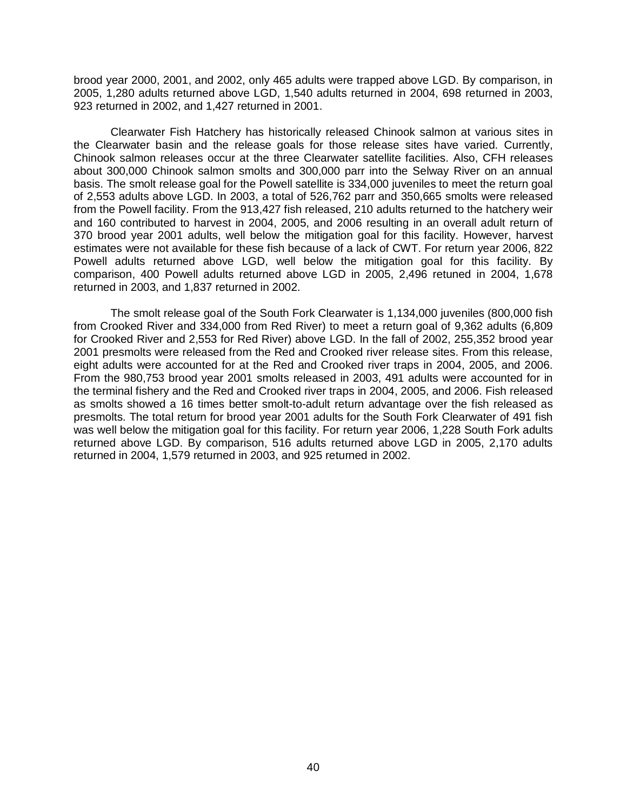brood year 2000, 2001, and 2002, only 465 adults were trapped above LGD. By comparison, in 2005, 1,280 adults returned above LGD, 1,540 adults returned in 2004, 698 returned in 2003, 923 returned in 2002, and 1,427 returned in 2001.

Clearwater Fish Hatchery has historically released Chinook salmon at various sites in the Clearwater basin and the release goals for those release sites have varied. Currently, Chinook salmon releases occur at the three Clearwater satellite facilities. Also, CFH releases about 300,000 Chinook salmon smolts and 300,000 parr into the Selway River on an annual basis. The smolt release goal for the Powell satellite is 334,000 juveniles to meet the return goal of 2,553 adults above LGD. In 2003, a total of 526,762 parr and 350,665 smolts were released from the Powell facility. From the 913,427 fish released, 210 adults returned to the hatchery weir and 160 contributed to harvest in 2004, 2005, and 2006 resulting in an overall adult return of 370 brood year 2001 adults, well below the mitigation goal for this facility. However, harvest estimates were not available for these fish because of a lack of CWT. For return year 2006, 822 Powell adults returned above LGD, well below the mitigation goal for this facility. By comparison, 400 Powell adults returned above LGD in 2005, 2,496 retuned in 2004, 1,678 returned in 2003, and 1,837 returned in 2002.

The smolt release goal of the South Fork Clearwater is 1,134,000 juveniles (800,000 fish from Crooked River and 334,000 from Red River) to meet a return goal of 9,362 adults (6,809 for Crooked River and 2,553 for Red River) above LGD. In the fall of 2002, 255,352 brood year 2001 presmolts were released from the Red and Crooked river release sites. From this release, eight adults were accounted for at the Red and Crooked river traps in 2004, 2005, and 2006. From the 980,753 brood year 2001 smolts released in 2003, 491 adults were accounted for in the terminal fishery and the Red and Crooked river traps in 2004, 2005, and 2006. Fish released as smolts showed a 16 times better smolt-to-adult return advantage over the fish released as presmolts. The total return for brood year 2001 adults for the South Fork Clearwater of 491 fish was well below the mitigation goal for this facility. For return year 2006, 1,228 South Fork adults returned above LGD. By comparison, 516 adults returned above LGD in 2005, 2,170 adults returned in 2004, 1,579 returned in 2003, and 925 returned in 2002.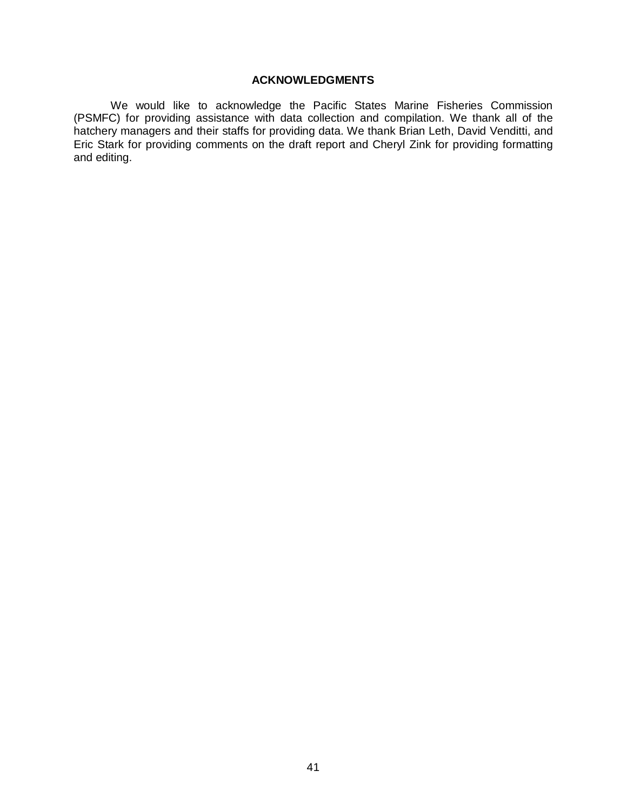# **ACKNOWLEDGMENTS**

<span id="page-47-0"></span>We would like to acknowledge the Pacific States Marine Fisheries Commission (PSMFC) for providing assistance with data collection and compilation. We thank all of the hatchery managers and their staffs for providing data. We thank Brian Leth, David Venditti, and Eric Stark for providing comments on the draft report and Cheryl Zink for providing formatting and editing.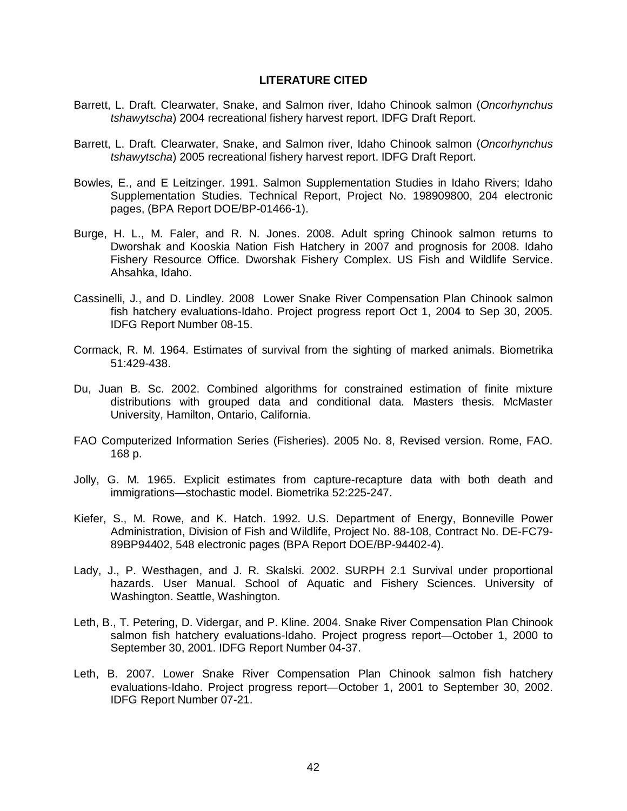#### **LITERATURE CITED**

- <span id="page-48-0"></span>Barrett, L. Draft. Clearwater, Snake, and Salmon river, Idaho Chinook salmon (*Oncorhynchus tshawytscha*) 2004 recreational fishery harvest report. IDFG Draft Report.
- Barrett, L. Draft. Clearwater, Snake, and Salmon river, Idaho Chinook salmon (*Oncorhynchus tshawytscha*) 2005 recreational fishery harvest report. IDFG Draft Report.
- Bowles, E., and E Leitzinger. 1991. Salmon Supplementation Studies in Idaho Rivers; Idaho Supplementation Studies. Technical Report, Project No. 198909800, 204 electronic pages, (BPA Report DOE/BP-01466-1).
- Burge, H. L., M. Faler, and R. N. Jones. 2008. Adult spring Chinook salmon returns to Dworshak and Kooskia Nation Fish Hatchery in 2007 and prognosis for 2008. Idaho Fishery Resource Office. Dworshak Fishery Complex. US Fish and Wildlife Service. Ahsahka, Idaho.
- Cassinelli, J., and D. Lindley. 2008 Lower Snake River Compensation Plan Chinook salmon fish hatchery evaluations-Idaho. Project progress report Oct 1, 2004 to Sep 30, 2005. IDFG Report Number 08-15.
- Cormack, R. M. 1964. Estimates of survival from the sighting of marked animals. Biometrika 51:429-438.
- Du, Juan B. Sc. 2002. Combined algorithms for constrained estimation of finite mixture distributions with grouped data and conditional data. Masters thesis. McMaster University, Hamilton, Ontario, California.
- FAO Computerized Information Series (Fisheries). 2005 No. 8, Revised version. Rome, FAO. 168 p.
- Jolly, G. M. 1965. Explicit estimates from capture-recapture data with both death and immigrations—stochastic model. Biometrika 52:225-247.
- Kiefer, S., M. Rowe, and K. Hatch. 1992. U.S. Department of Energy, Bonneville Power Administration, Division of Fish and Wildlife, Project No. 88-108, Contract No. DE-FC79- 89BP94402, 548 electronic pages (BPA Report DOE/BP-94402-4).
- Lady, J., P. Westhagen, and J. R. Skalski. 2002. SURPH 2.1 Survival under proportional hazards. User Manual. School of Aquatic and Fishery Sciences. University of Washington. Seattle, Washington.
- Leth, B., T. Petering, D. Vidergar, and P. Kline. 2004. Snake River Compensation Plan Chinook salmon fish hatchery evaluations-Idaho. Project progress report—October 1, 2000 to September 30, 2001. IDFG Report Number 04-37.
- Leth, B. 2007. Lower Snake River Compensation Plan Chinook salmon fish hatchery evaluations-Idaho. Project progress report—October 1, 2001 to September 30, 2002. IDFG Report Number 07-21.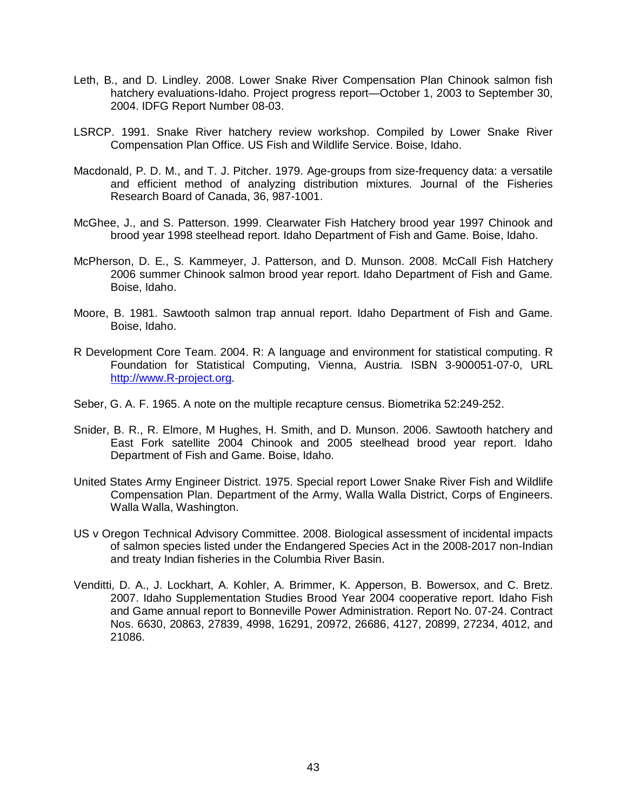- Leth, B., and D. Lindley. 2008. Lower Snake River Compensation Plan Chinook salmon fish hatchery evaluations-Idaho. Project progress report—October 1, 2003 to September 30, 2004. IDFG Report Number 08-03.
- LSRCP. 1991. Snake River hatchery review workshop. Compiled by Lower Snake River Compensation Plan Office. US Fish and Wildlife Service. Boise, Idaho.
- Macdonald, P. D. M., and T. J. Pitcher. 1979. Age-groups from size-frequency data: a versatile and efficient method of analyzing distribution mixtures. Journal of the Fisheries Research Board of Canada, 36, 987-1001.
- McGhee, J., and S. Patterson. 1999. Clearwater Fish Hatchery brood year 1997 Chinook and brood year 1998 steelhead report. Idaho Department of Fish and Game. Boise, Idaho.
- McPherson, D. E., S. Kammeyer, J. Patterson, and D. Munson. 2008. McCall Fish Hatchery 2006 summer Chinook salmon brood year report. Idaho Department of Fish and Game. Boise, Idaho.
- Moore, B. 1981. Sawtooth salmon trap annual report. Idaho Department of Fish and Game. Boise, Idaho.
- R Development Core Team. 2004. R: A language and environment for statistical computing. R Foundation for Statistical Computing, Vienna, Austria. ISBN 3-900051-07-0, URL [http://www.R-project.org.](http://www.r-project.org/)
- Seber, G. A. F. 1965. A note on the multiple recapture census. Biometrika 52:249-252.
- Snider, B. R., R. Elmore, M Hughes, H. Smith, and D. Munson. 2006. Sawtooth hatchery and East Fork satellite 2004 Chinook and 2005 steelhead brood year report. Idaho Department of Fish and Game. Boise, Idaho.
- United States Army Engineer District. 1975. Special report Lower Snake River Fish and Wildlife Compensation Plan. Department of the Army, Walla Walla District, Corps of Engineers. Walla Walla, Washington.
- US v Oregon Technical Advisory Committee. 2008. Biological assessment of incidental impacts of salmon species listed under the Endangered Species Act in the 2008-2017 non-Indian and treaty Indian fisheries in the Columbia River Basin.
- Venditti, D. A., J. Lockhart, A. Kohler, A. Brimmer, K. Apperson, B. Bowersox, and C. Bretz. 2007. Idaho Supplementation Studies Brood Year 2004 cooperative report. Idaho Fish and Game annual report to Bonneville Power Administration. Report No. 07-24. Contract Nos. 6630, 20863, 27839, 4998, 16291, 20972, 26686, 4127, 20899, 27234, 4012, and 21086.